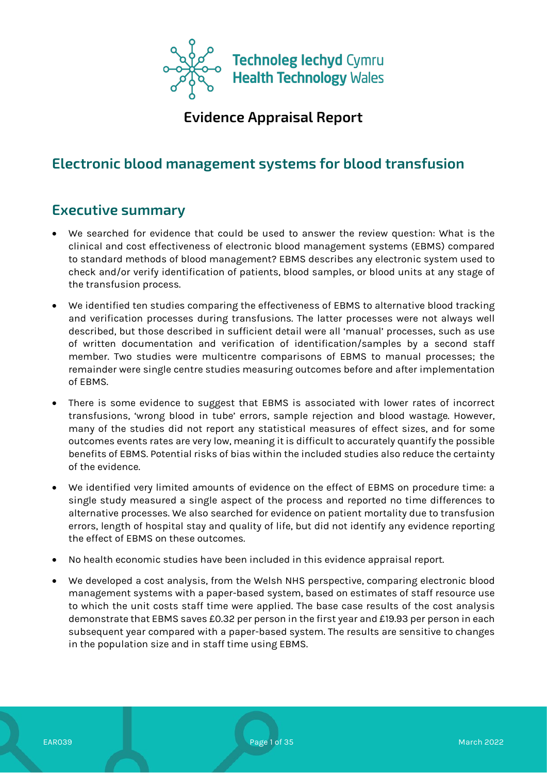

**Evidence Appraisal Report**

# **Electronic blood management systems for blood transfusion**

# **Executive summary**

- We searched for evidence that could be used to answer the review question: What is the clinical and cost effectiveness of electronic blood management systems (EBMS) compared to standard methods of blood management? EBMS describes any electronic system used to check and/or verify identification of patients, blood samples, or blood units at any stage of the transfusion process.
- We identified ten studies comparing the effectiveness of EBMS to alternative blood tracking and verification processes during transfusions. The latter processes were not always well described, but those described in sufficient detail were all 'manual' processes, such as use of written documentation and verification of identification/samples by a second staff member. Two studies were multicentre comparisons of EBMS to manual processes; the remainder were single centre studies measuring outcomes before and after implementation of EBMS.
- There is some evidence to suggest that EBMS is associated with lower rates of incorrect transfusions, 'wrong blood in tube' errors, sample rejection and blood wastage. However, many of the studies did not report any statistical measures of effect sizes, and for some outcomes events rates are very low, meaning it is difficult to accurately quantify the possible benefits of EBMS. Potential risks of bias within the included studies also reduce the certainty of the evidence.
- We identified very limited amounts of evidence on the effect of EBMS on procedure time: a single study measured a single aspect of the process and reported no time differences to alternative processes. We also searched for evidence on patient mortality due to transfusion errors, length of hospital stay and quality of life, but did not identify any evidence reporting the effect of EBMS on these outcomes.
- No health economic studies have been included in this evidence appraisal report.
- We developed a cost analysis, from the Welsh NHS perspective, comparing electronic blood management systems with a paper-based system, based on estimates of staff resource use to which the unit costs staff time were applied. The base case results of the cost analysis demonstrate that EBMS saves £0.32 per person in the first year and £19.93 per person in each subsequent year compared with a paper-based system. The results are sensitive to changes in the population size and in staff time using EBMS.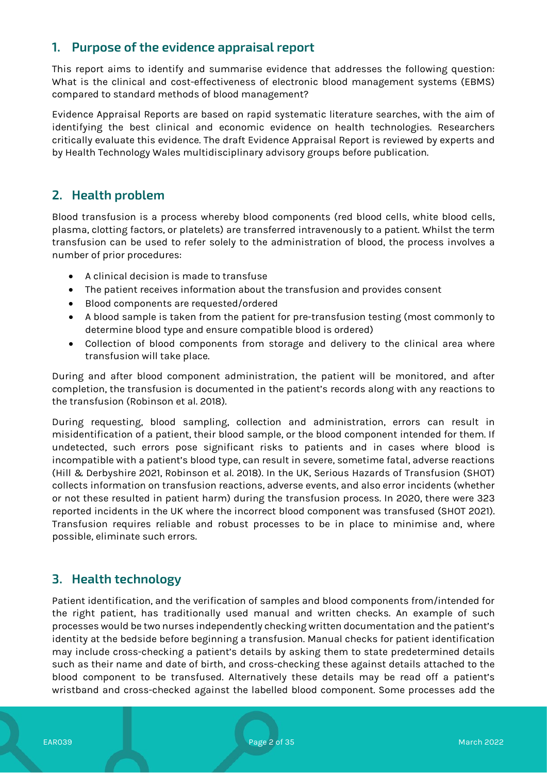# **1. Purpose of the evidence appraisal report**

This report aims to identify and summarise evidence that addresses the following question: What is the clinical and cost-effectiveness of electronic blood management systems (EBMS) compared to standard methods of blood management?

Evidence Appraisal Reports are based on rapid systematic literature searches, with the aim of identifying the best clinical and economic evidence on health technologies. Researchers critically evaluate this evidence. The draft Evidence Appraisal Report is reviewed by experts and by Health Technology Wales multidisciplinary advisory groups before publication.

# **2. Health problem**

Blood transfusion is a process whereby blood components (red blood cells, white blood cells, plasma, clotting factors, or platelets) are transferred intravenously to a patient. Whilst the term transfusion can be used to refer solely to the administration of blood, the process involves a number of prior procedures:

- A clinical decision is made to transfuse
- The patient receives information about the transfusion and provides consent
- Blood components are requested/ordered
- A blood sample is taken from the patient for pre-transfusion testing (most commonly to determine blood type and ensure compatible blood is ordered)
- Collection of blood components from storage and delivery to the clinical area where transfusion will take place.

During and after blood component administration, the patient will be monitored, and after completion, the transfusion is documented in the patient's records along with any reactions to the transfusion (Robinson et al. 2018).

During requesting, blood sampling, collection and administration, errors can result in misidentification of a patient, their blood sample, or the blood component intended for them. If undetected, such errors pose significant risks to patients and in cases where blood is incompatible with a patient's blood type, can result in severe, sometime fatal, adverse reactions (Hill & Derbyshire 2021, Robinson et al. 2018). In the UK, Serious Hazards of Transfusion (SHOT) collects information on transfusion reactions, adverse events, and also error incidents (whether or not these resulted in patient harm) during the transfusion process. In 2020, there were 323 reported incidents in the UK where the incorrect blood component was transfused (SHOT 2021). Transfusion requires reliable and robust processes to be in place to minimise and, where possible, eliminate such errors.

# **3. Health technology**

Patient identification, and the verification of samples and blood components from/intended for the right patient, has traditionally used manual and written checks. An example of such processes would be two nurses independently checking written documentation and the patient's identity at the bedside before beginning a transfusion. Manual checks for patient identification may include cross-checking a patient's details by asking them to state predetermined details such as their name and date of birth, and cross-checking these against details attached to the blood component to be transfused. Alternatively these details may be read off a patient's wristband and cross-checked against the labelled blood component. Some processes add the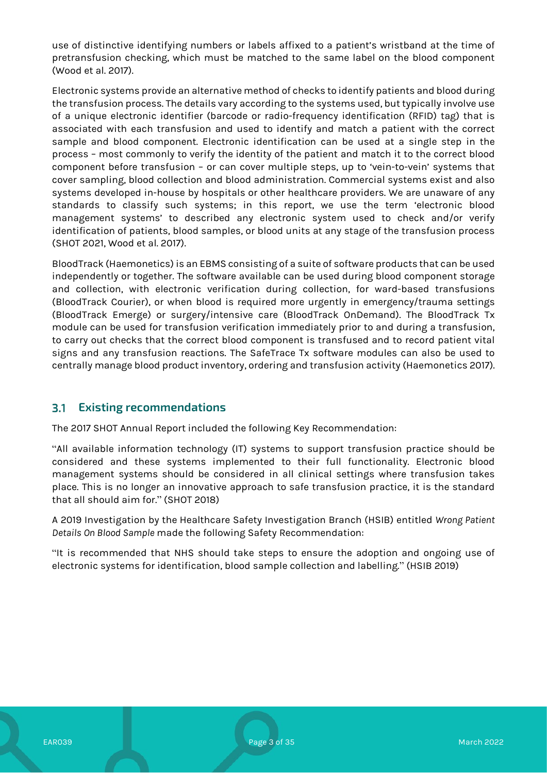use of distinctive identifying numbers or labels affixed to a patient's wristband at the time of pretransfusion checking, which must be matched to the same label on the blood component (Wood et al. 2017).

Electronic systems provide an alternative method of checks to identify patients and blood during the transfusion process. The details vary according to the systems used, but typically involve use of a unique electronic identifier (barcode or radio-frequency identification (RFID) tag) that is associated with each transfusion and used to identify and match a patient with the correct sample and blood component. Electronic identification can be used at a single step in the process – most commonly to verify the identity of the patient and match it to the correct blood component before transfusion – or can cover multiple steps, up to 'vein-to-vein' systems that cover sampling, blood collection and blood administration. Commercial systems exist and also systems developed in-house by hospitals or other healthcare providers. We are unaware of any standards to classify such systems; in this report, we use the term 'electronic blood management systems' to described any electronic system used to check and/or verify identification of patients, blood samples, or blood units at any stage of the transfusion process (SHOT 2021, Wood et al. 2017).

BloodTrack (Haemonetics) is an EBMS consisting of a suite of software products that can be used independently or together. The software available can be used during blood component storage and collection, with electronic verification during collection, for ward-based transfusions (BloodTrack Courier), or when blood is required more urgently in emergency/trauma settings (BloodTrack Emerge) or surgery/intensive care (BloodTrack OnDemand). The BloodTrack Tx module can be used for transfusion verification immediately prior to and during a transfusion, to carry out checks that the correct blood component is transfused and to record patient vital signs and any transfusion reactions. The SafeTrace Tx software modules can also be used to centrally manage blood product inventory, ordering and transfusion activity (Haemonetics 2017).

#### **Existing recommendations**  $3.1$

The 2017 SHOT Annual Report included the following Key Recommendation:

"All available information technology (IT) systems to support transfusion practice should be considered and these systems implemented to their full functionality. Electronic blood management systems should be considered in all clinical settings where transfusion takes place. This is no longer an innovative approach to safe transfusion practice, it is the standard that all should aim for." (SHOT 2018)

A 2019 Investigation by the Healthcare Safety Investigation Branch (HSIB) entitled *Wrong Patient Details On Blood Sample* made the following Safety Recommendation:

"It is recommended that NHS should take steps to ensure the adoption and ongoing use of electronic systems for identification, blood sample collection and labelling." (HSIB 2019)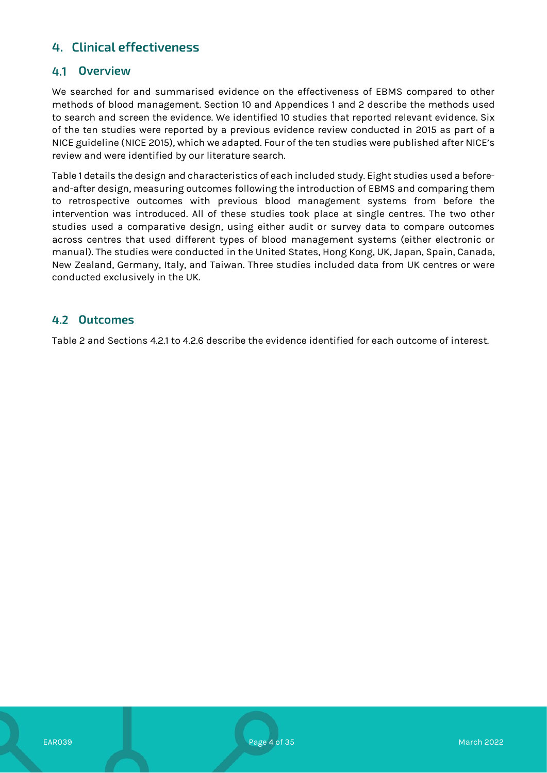# **4. Clinical effectiveness**

### **Overview**

We searched for and summarised evidence on the effectiveness of EBMS compared to other methods of blood management. Section 10 and Appendices 1 and 2 describe the methods used to search and screen the evidence. We identified 10 studies that reported relevant evidence. Six of the ten studies were reported by a previous evidence review conducted in 2015 as part of a NICE guideline (NICE 2015), which we adapted. Four of the ten studies were published after NICE's review and were identified by our literature search.

Table 1 details the design and characteristics of each included study. Eight studies used a beforeand-after design, measuring outcomes following the introduction of EBMS and comparing them to retrospective outcomes with previous blood management systems from before the intervention was introduced. All of these studies took place at single centres. The two other studies used a comparative design, using either audit or survey data to compare outcomes across centres that used different types of blood management systems (either electronic or manual). The studies were conducted in the United States, Hong Kong, UK, Japan, Spain, Canada, New Zealand, Germany, Italy, and Taiwan. Three studies included data from UK centres or were conducted exclusively in the UK.

### **Outcomes**

Table 2 and Sections 4.2.1 to 4.2.6 describe the evidence identified for each outcome of interest.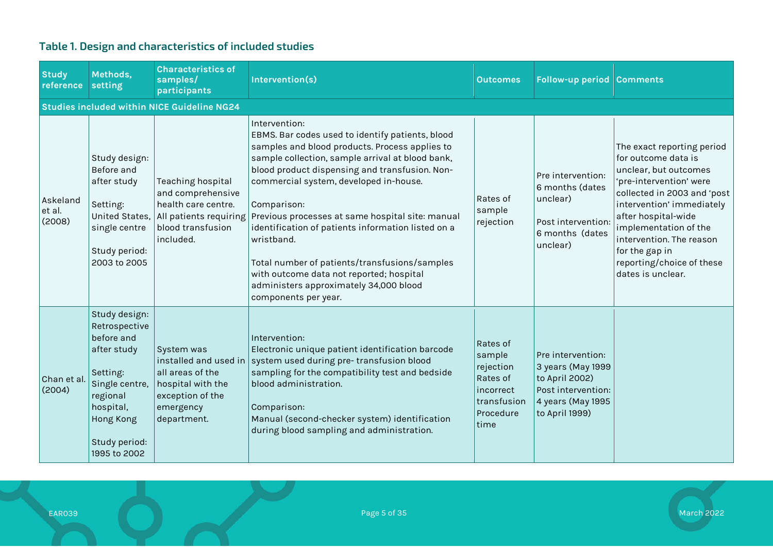| <b>Study</b><br>reference    | Methods,<br>setting                                                                                                                                                     | <b>Characteristics of</b><br>samples/<br>participants                                                                        | Intervention(s)                                                                                                                                                                                                                                                                                                                                                                                                                                                                                                                                                                  | <b>Outcomes</b>                                                                              | Follow-up period Comments                                                                                             |                                                                                                                                                                                                                                                                                                                   |
|------------------------------|-------------------------------------------------------------------------------------------------------------------------------------------------------------------------|------------------------------------------------------------------------------------------------------------------------------|----------------------------------------------------------------------------------------------------------------------------------------------------------------------------------------------------------------------------------------------------------------------------------------------------------------------------------------------------------------------------------------------------------------------------------------------------------------------------------------------------------------------------------------------------------------------------------|----------------------------------------------------------------------------------------------|-----------------------------------------------------------------------------------------------------------------------|-------------------------------------------------------------------------------------------------------------------------------------------------------------------------------------------------------------------------------------------------------------------------------------------------------------------|
|                              |                                                                                                                                                                         | <b>Studies included within NICE Guideline NG24</b>                                                                           |                                                                                                                                                                                                                                                                                                                                                                                                                                                                                                                                                                                  |                                                                                              |                                                                                                                       |                                                                                                                                                                                                                                                                                                                   |
| Askeland<br>et al.<br>(2008) | Study design:<br>Before and<br>after study<br>Setting:<br>United States,<br>single centre<br>Study period:<br>2003 to 2005                                              | Teaching hospital<br>and comprehensive<br>health care centre.<br>All patients requiring<br>blood transfusion<br>included.    | Intervention:<br>EBMS. Bar codes used to identify patients, blood<br>samples and blood products. Process applies to<br>sample collection, sample arrival at blood bank,<br>blood product dispensing and transfusion. Non-<br>commercial system, developed in-house.<br>Comparison:<br>$\mid$ Previous processes at same hospital site: manual<br>identification of patients information listed on a<br>wristband.<br>Total number of patients/transfusions/samples<br>with outcome data not reported; hospital<br>administers approximately 34,000 blood<br>components per year. | Rates of<br>sample<br>rejection                                                              | Pre intervention:<br>6 months (dates<br>unclear)<br>Post intervention:<br>6 months (dates<br>unclear)                 | The exact reporting period<br>for outcome data is<br>unclear, but outcomes<br>'pre-intervention' were<br>collected in 2003 and 'post<br>intervention' immediately<br>after hospital-wide<br>implementation of the<br>intervention. The reason<br>for the gap in<br>reporting/choice of these<br>dates is unclear. |
| Chan et al.<br>(2004)        | Study design:<br>Retrospective<br>before and<br>after study<br>Setting:<br>Single centre,<br>regional<br>hospital,<br><b>Hong Kong</b><br>Study period:<br>1995 to 2002 | System was<br>installed and used in<br>all areas of the<br>hospital with the<br>exception of the<br>emergency<br>department. | Intervention:<br>Electronic unique patient identification barcode<br>system used during pre-transfusion blood<br>sampling for the compatibility test and bedside<br>blood administration.<br>Comparison:<br>Manual (second-checker system) identification<br>during blood sampling and administration.                                                                                                                                                                                                                                                                           | Rates of<br>sample<br>rejection<br>Rates of<br>incorrect<br>transfusion<br>Procedure<br>time | Pre intervention:<br>3 years (May 1999<br>to April 2002)<br>Post intervention:<br>4 years (May 1995<br>to April 1999) |                                                                                                                                                                                                                                                                                                                   |

# **Table 1. Design and characteristics of included studies**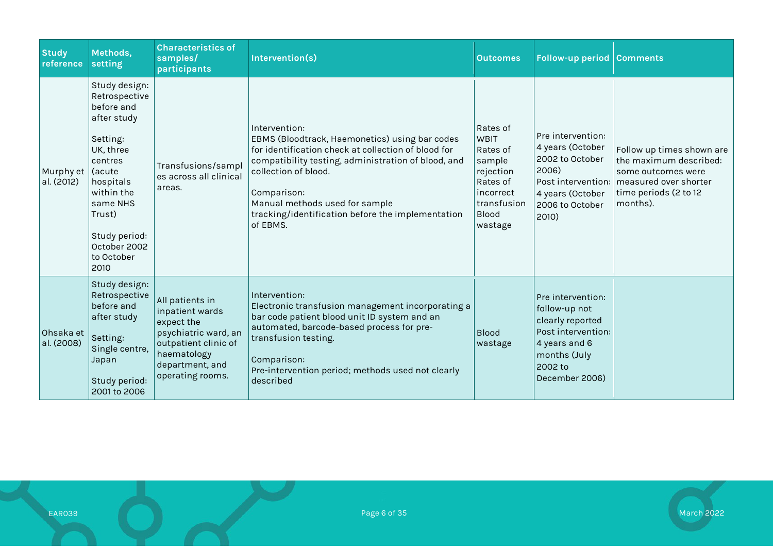| <b>Study</b><br>reference | Methods,<br>setting                                                                                                                                                                                               | <b>Characteristics of</b><br>samples/<br>participants                                                                                                  | Intervention(s)                                                                                                                                                                                                                                                                                                         | <b>Outcomes</b>                                                                                                        | <b>Follow-up period Comments</b>                                                                                                           |                                                                                                                                                              |
|---------------------------|-------------------------------------------------------------------------------------------------------------------------------------------------------------------------------------------------------------------|--------------------------------------------------------------------------------------------------------------------------------------------------------|-------------------------------------------------------------------------------------------------------------------------------------------------------------------------------------------------------------------------------------------------------------------------------------------------------------------------|------------------------------------------------------------------------------------------------------------------------|--------------------------------------------------------------------------------------------------------------------------------------------|--------------------------------------------------------------------------------------------------------------------------------------------------------------|
| Murphy et<br>al. (2012)   | Study design:<br>Retrospective<br>before and<br>after study<br>Setting:<br>UK, three<br>centres<br>Gacute<br>hospitals<br>within the<br>same NHS<br>Trust)<br>Study period:<br>October 2002<br>to October<br>2010 | Transfusions/sampl<br>es across all clinical<br>areas.                                                                                                 | Intervention:<br>EBMS (Bloodtrack, Haemonetics) using bar codes<br>for identification check at collection of blood for<br>compatibility testing, administration of blood, and<br>collection of blood.<br>Comparison:<br>Manual methods used for sample<br>tracking/identification before the implementation<br>of EBMS. | Rates of<br>WBIT<br>Rates of<br>sample<br>rejection<br>Rates of<br>incorrect<br>transfusion<br><b>Blood</b><br>wastage | Pre intervention:<br>4 years (October<br>2002 to October<br>2006)<br>4 years (October<br>2006 to October<br>2010)                          | Follow up times shown are<br>the maximum described:<br>some outcomes were<br>Post intervention:   measured over shorter<br>time periods (2 to 12<br>months). |
| Ohsaka et<br>al. (2008)   | Study design:<br>Retrospective<br>before and<br>after study<br>Setting:<br>Single centre,<br>Japan<br>Study period:<br>2001 to 2006                                                                               | All patients in<br>inpatient wards<br>expect the<br>psychiatric ward, an<br>outpatient clinic of<br>haematology<br>department, and<br>operating rooms. | Intervention:<br>Electronic transfusion management incorporating a<br>bar code patient blood unit ID system and an<br>automated, barcode-based process for pre-<br>transfusion testing.<br>Comparison:<br>Pre-intervention period; methods used not clearly<br>described                                                | <b>Blood</b><br>wastage                                                                                                | Pre intervention:<br>follow-up not<br>clearly reported<br>Post intervention:<br>4 years and 6<br>months (July<br>2002 to<br>December 2006) |                                                                                                                                                              |



EAR039 Page 6 of 35 March 2022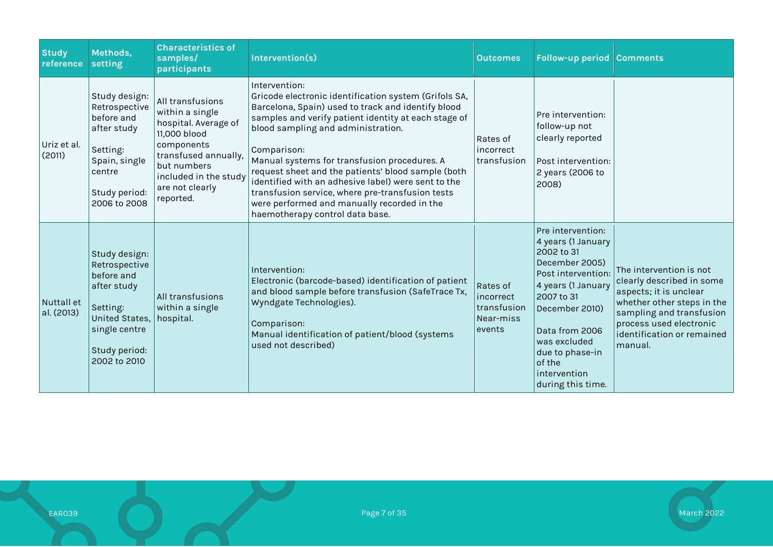| <b>Study</b><br>reference | Methods,<br>setting                                                                                                                         | <b>Characteristics of</b><br>samples/<br>participants                                                                                                                                     | Intervention(s)                                                                                                                                                                                                                                                                                                                                                                                                                                                                                                                              | <b>Outcomes</b>                                             | <b>Follow-up period Comments</b>                                                                                                                                                                                                                        |                                                                                                                                                                                                              |
|---------------------------|---------------------------------------------------------------------------------------------------------------------------------------------|-------------------------------------------------------------------------------------------------------------------------------------------------------------------------------------------|----------------------------------------------------------------------------------------------------------------------------------------------------------------------------------------------------------------------------------------------------------------------------------------------------------------------------------------------------------------------------------------------------------------------------------------------------------------------------------------------------------------------------------------------|-------------------------------------------------------------|---------------------------------------------------------------------------------------------------------------------------------------------------------------------------------------------------------------------------------------------------------|--------------------------------------------------------------------------------------------------------------------------------------------------------------------------------------------------------------|
| Uriz et al.<br>(2011)     | Study design:<br>Retrospective<br>before and<br>after study<br>Setting:<br>Spain, single<br>centre<br>Study period:<br>2006 to 2008         | All transfusions<br>within a single<br>hospital. Average of<br>11,000 blood<br>components<br>transfused annually,<br>but numbers<br>included in the study<br>are not clearly<br>reported. | Intervention:<br>Gricode electronic identification system (Grifols SA,<br>Barcelona, Spain) used to track and identify blood<br>samples and verify patient identity at each stage of<br>blood sampling and administration.<br>Comparison:<br>Manual systems for transfusion procedures. A<br>request sheet and the patients' blood sample (both<br>identified with an adhesive label) were sent to the<br>transfusion service, where pre-transfusion tests<br>were performed and manually recorded in the<br>haemotherapy control data base. | Rates of<br>incorrect<br>transfusion                        | Pre intervention:<br>follow-up not<br>clearly reported<br>Post intervention:<br>2 years (2006 to<br>2008)                                                                                                                                               |                                                                                                                                                                                                              |
| Nuttall et<br>al. (2013)  | Study design:<br>Retrospective<br>before and<br>after study<br>Setting:<br>United States,<br>single centre<br>Study period:<br>2002 to 2010 | All transfusions<br>within a single<br>hospital.                                                                                                                                          | Intervention:<br>Electronic (barcode-based) identification of patient<br>and blood sample before transfusion (SafeTrace Tx,<br>Wyndgate Technologies).<br>Comparison:<br>Manual identification of patient/blood (systems<br>used not described)                                                                                                                                                                                                                                                                                              | Rates of<br>incorrect<br>transfusion<br>Near-miss<br>events | Pre intervention:<br>4 years (1 January<br>2002 to 31<br>December 2005)<br>Post intervention:<br>4 years (1 January<br>2007 to 31<br>December 2010)<br>Data from 2006<br>was excluded<br>due to phase-in<br>of the<br>intervention<br>during this time. | The intervention is not<br>clearly described in some<br>aspects; it is unclear<br>whether other steps in the<br>sampling and transfusion<br>process used electronic<br>identification or remained<br>manual. |

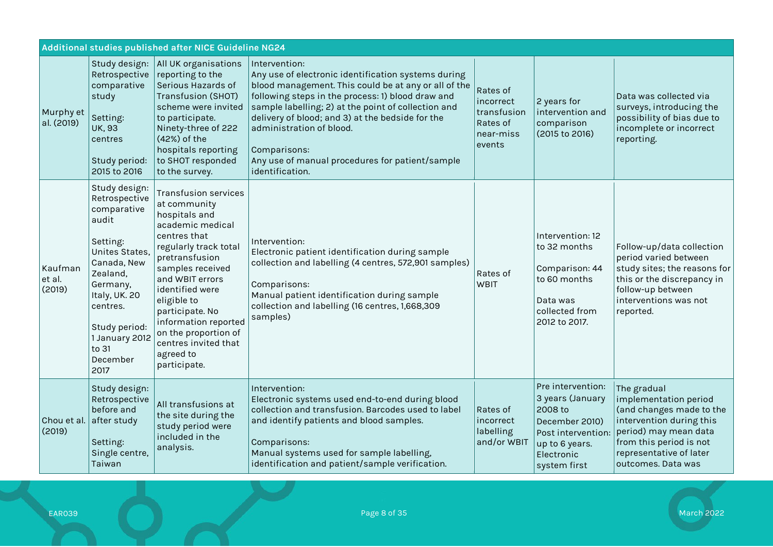|                             | Additional studies published after NICE Guideline NG24                                                                                                                                                                   |                                                                                                                                                                                                                                                                                                                                              |                                                                                                                                                                                                                                                                                                                                                                                                                |                                                                         |                                                                                                                                          |                                                                                                                                                                                                   |
|-----------------------------|--------------------------------------------------------------------------------------------------------------------------------------------------------------------------------------------------------------------------|----------------------------------------------------------------------------------------------------------------------------------------------------------------------------------------------------------------------------------------------------------------------------------------------------------------------------------------------|----------------------------------------------------------------------------------------------------------------------------------------------------------------------------------------------------------------------------------------------------------------------------------------------------------------------------------------------------------------------------------------------------------------|-------------------------------------------------------------------------|------------------------------------------------------------------------------------------------------------------------------------------|---------------------------------------------------------------------------------------------------------------------------------------------------------------------------------------------------|
| Murphy et<br>al. (2019)     | Study design:<br>Retrospective<br>comparative<br>study<br>Setting:<br><b>UK, 93</b><br>centres<br>Study period:<br>2015 to 2016                                                                                          | All UK organisations<br>reporting to the<br>Serious Hazards of<br><b>Transfusion (SHOT)</b><br>scheme were invited<br>to participate.<br>Ninety-three of 222<br>(42%) of the<br>hospitals reporting<br>to SHOT responded<br>to the survey.                                                                                                   | Intervention:<br>Any use of electronic identification systems during<br>blood management. This could be at any or all of the<br>following steps in the process: 1) blood draw and<br>sample labelling; 2) at the point of collection and<br>delivery of blood; and 3) at the bedside for the<br>administration of blood.<br>Comparisons:<br>Any use of manual procedures for patient/sample<br>identification. | Rates of<br>incorrect<br>transfusion<br>Rates of<br>near-miss<br>events | 2 years for<br>intervention and<br>comparison<br>(2015 to 2016)                                                                          | Data was collected via<br>surveys, introducing the<br>possibility of bias due to<br>incomplete or incorrect<br>reporting.                                                                         |
| Kaufman<br>et al.<br>(2019) | Study design:<br>Retrospective<br>comparative<br>audit<br>Setting:<br>Unites States,<br>Canada, New<br>Zealand,<br>Germany,<br>Italy, UK. 20<br>centres.<br>Study period:<br>1 January 2012<br>to 31<br>December<br>2017 | <b>Transfusion services</b><br>at community<br>hospitals and<br>academic medical<br>centres that<br>regularly track total<br>pretransfusion<br>samples received<br>and WBIT errors<br>identified were<br>eligible to<br>participate. No<br>information reported<br>on the proportion of<br>centres invited that<br>agreed to<br>participate. | Intervention:<br>Electronic patient identification during sample<br>collection and labelling (4 centres, 572,901 samples)<br>Comparisons:<br>Manual patient identification during sample<br>collection and labelling (16 centres, 1,668,309<br>samples)                                                                                                                                                        | Rates of<br><b>WBIT</b>                                                 | Intervention: 12<br>to 32 months<br>Comparison: 44<br>to 60 months<br>Data was<br>collected from<br>2012 to 2017.                        | Follow-up/data collection<br>period varied between<br>study sites; the reasons for<br>this or the discrepancy in<br>follow-up between<br>interventions was not<br>reported.                       |
| Chou et al.<br>(2019)       | Study design:<br>Retrospective<br>before and<br>after study<br>Setting:<br>Single centre,<br>Taiwan                                                                                                                      | All transfusions at<br>the site during the<br>study period were<br>included in the<br>analysis.                                                                                                                                                                                                                                              | Intervention:<br>Electronic systems used end-to-end during blood<br>collection and transfusion. Barcodes used to label<br>and identify patients and blood samples.<br>Comparisons:<br>Manual systems used for sample labelling,<br>identification and patient/sample verification.                                                                                                                             | Rates of<br>incorrect<br>labelling<br>and/or WBIT                       | Pre intervention:<br>3 years (January<br>2008 to<br>December 2010)<br>Post intervention:<br>up to 6 years.<br>Electronic<br>system first | The gradual<br>implementation period<br>(and changes made to the<br>intervention during this<br>period) may mean data<br>from this period is not<br>representative of later<br>outcomes. Data was |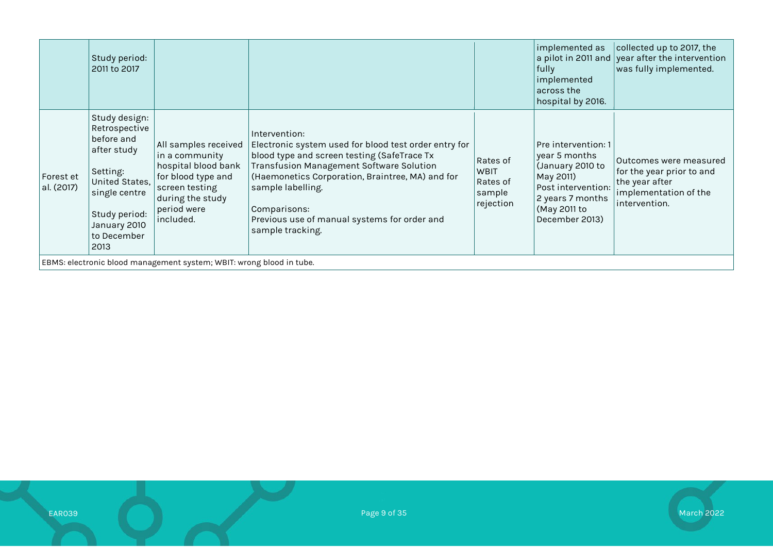|                                                                      | Study period:<br>2011 to 2017                                                                                                                                      |                                                                                                                                                       |                                                                                                                                                                                                                                                                                                                                               |                                                            | implemented as<br>fully<br>implemented<br>$\mid$ across the<br>hospital by 2016.                                                                  | collected up to 2017, the<br>$\vert$ a pilot in 2011 and $\vert$ year after the intervention<br>was fully implemented. |
|----------------------------------------------------------------------|--------------------------------------------------------------------------------------------------------------------------------------------------------------------|-------------------------------------------------------------------------------------------------------------------------------------------------------|-----------------------------------------------------------------------------------------------------------------------------------------------------------------------------------------------------------------------------------------------------------------------------------------------------------------------------------------------|------------------------------------------------------------|---------------------------------------------------------------------------------------------------------------------------------------------------|------------------------------------------------------------------------------------------------------------------------|
| Forest et<br>al. (2017)                                              | Study design:<br>Retrospective<br>before and<br>after study<br>Setting:<br>United States,<br>single centre<br>Study period:<br>January 2010<br>to December<br>2013 | All samples received<br>in a community<br>hospital blood bank<br>for blood type and<br>screen testing<br>during the study<br>period were<br>included. | Intervention:<br>Electronic system used for blood test order entry for<br>$\vert$ blood type and screen testing (SafeTrace Tx<br><b>Transfusion Management Software Solution</b><br>(Haemonetics Corporation, Braintree, MA) and for<br>sample labelling.<br>Comparisons:<br>Previous use of manual systems for order and<br>sample tracking. | Rates of<br><b>WBIT</b><br>Rates of<br>sample<br>rejection | Pre intervention: 1<br>year 5 months<br>(January 2010 to<br>May 2011)<br>Post intervention:<br>2 years 7 months<br>(May 2011 to<br>December 2013) | Outcomes were measured <br>for the year prior to and<br>the year after<br>implementation of the<br>intervention.       |
| EBMS: electronic blood management system; WBIT: wrong blood in tube. |                                                                                                                                                                    |                                                                                                                                                       |                                                                                                                                                                                                                                                                                                                                               |                                                            |                                                                                                                                                   |                                                                                                                        |

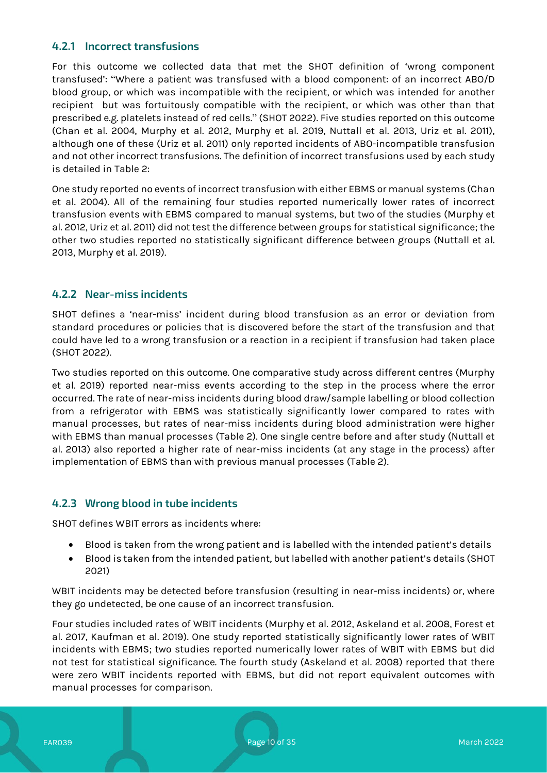#### **4.2.1 Incorrect transfusions**

For this outcome we collected data that met the SHOT definition of 'wrong component transfused': "Where a patient was transfused with a blood component: of an incorrect ABO/D blood group, or which was incompatible with the recipient, or which was intended for another recipient but was fortuitously compatible with the recipient, or which was other than that prescribed e.g. platelets instead of red cells." (SHOT 2022). Five studies reported on this outcome (Chan et al. 2004, Murphy et al. 2012, Murphy et al. 2019, Nuttall et al. 2013, Uriz et al. 2011), although one of these (Uriz et al. 2011) only reported incidents of ABO-incompatible transfusion and not other incorrect transfusions. The definition of incorrect transfusions used by each study is detailed in Table 2:

One study reported no events of incorrect transfusion with either EBMS or manual systems (Chan et al. 2004). All of the remaining four studies reported numerically lower rates of incorrect transfusion events with EBMS compared to manual systems, but two of the studies (Murphy et al. 2012, Uriz et al. 2011) did not test the difference between groups for statistical significance; the other two studies reported no statistically significant difference between groups (Nuttall et al. 2013, Murphy et al. 2019).

#### **4.2.2 Near-miss incidents**

SHOT defines a 'near-miss' incident during blood transfusion as an error or deviation from standard procedures or policies that is discovered before the start of the transfusion and that could have led to a wrong transfusion or a reaction in a recipient if transfusion had taken place (SHOT 2022).

Two studies reported on this outcome. One comparative study across different centres (Murphy et al. 2019) reported near-miss events according to the step in the process where the error occurred. The rate of near-miss incidents during blood draw/sample labelling or blood collection from a refrigerator with EBMS was statistically significantly lower compared to rates with manual processes, but rates of near-miss incidents during blood administration were higher with EBMS than manual processes (Table 2). One single centre before and after study (Nuttall et al. 2013) also reported a higher rate of near-miss incidents (at any stage in the process) after implementation of EBMS than with previous manual processes (Table 2).

#### **4.2.3 Wrong blood in tube incidents**

SHOT defines WBIT errors as incidents where:

- Blood is taken from the wrong patient and is labelled with the intended patient's details
- Blood is taken from the intended patient, but labelled with another patient's details (SHOT 2021)

WBIT incidents may be detected before transfusion (resulting in near-miss incidents) or, where they go undetected, be one cause of an incorrect transfusion.

Four studies included rates of WBIT incidents (Murphy et al. 2012, Askeland et al. 2008, Forest et al. 2017, Kaufman et al. 2019). One study reported statistically significantly lower rates of WBIT incidents with EBMS; two studies reported numerically lower rates of WBIT with EBMS but did not test for statistical significance. The fourth study (Askeland et al. 2008) reported that there were zero WBIT incidents reported with EBMS, but did not report equivalent outcomes with manual processes for comparison.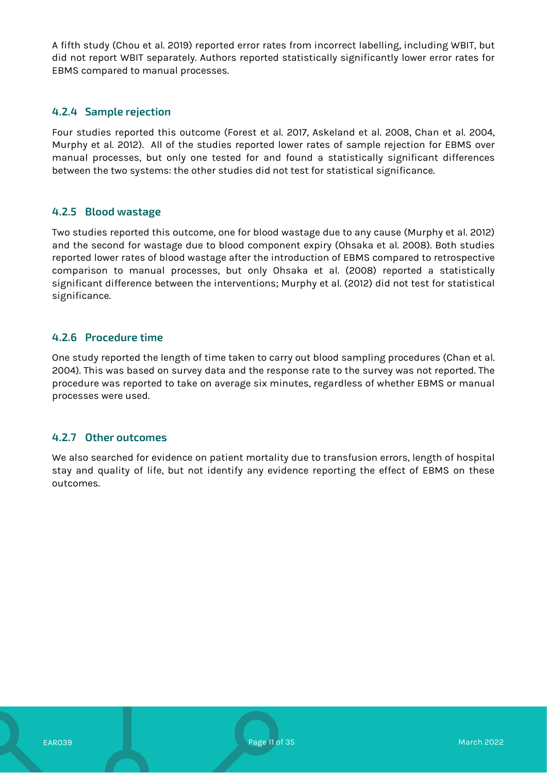A fifth study (Chou et al. 2019) reported error rates from incorrect labelling, including WBIT, but did not report WBIT separately. Authors reported statistically significantly lower error rates for EBMS compared to manual processes.

#### **4.2.4 Sample rejection**

Four studies reported this outcome (Forest et al. 2017, Askeland et al. 2008, Chan et al. 2004, Murphy et al. 2012). All of the studies reported lower rates of sample rejection for EBMS over manual processes, but only one tested for and found a statistically significant differences between the two systems: the other studies did not test for statistical significance.

#### **4.2.5 Blood wastage**

Two studies reported this outcome, one for blood wastage due to any cause (Murphy et al. 2012) and the second for wastage due to blood component expiry (Ohsaka et al. 2008). Both studies reported lower rates of blood wastage after the introduction of EBMS compared to retrospective comparison to manual processes, but only Ohsaka et al. (2008) reported a statistically significant difference between the interventions; Murphy et al. (2012) did not test for statistical significance.

#### **4.2.6 Procedure time**

One study reported the length of time taken to carry out blood sampling procedures (Chan et al. 2004). This was based on survey data and the response rate to the survey was not reported. The procedure was reported to take on average six minutes, regardless of whether EBMS or manual processes were used.

#### **4.2.7 Other outcomes**

We also searched for evidence on patient mortality due to transfusion errors, length of hospital stay and quality of life, but not identify any evidence reporting the effect of EBMS on these outcomes.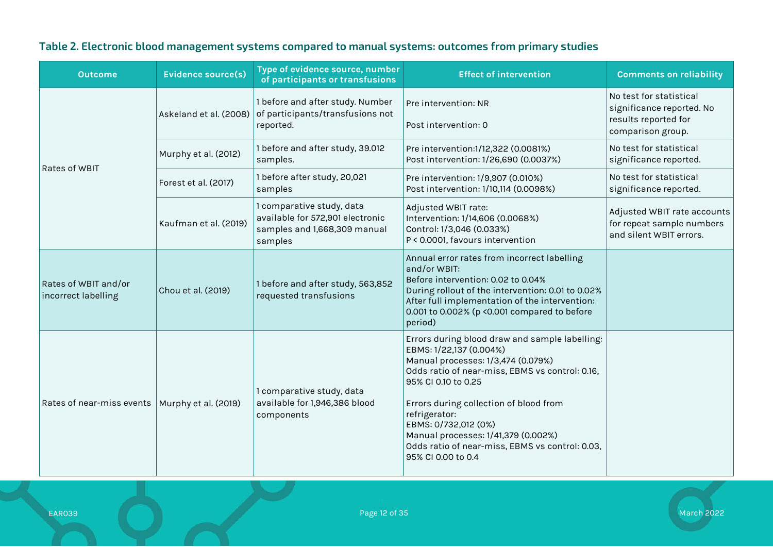| <b>Outcome</b>                              | <b>Evidence source(s)</b> | Type of evidence source, number<br>of participants or transfusions                                       | <b>Effect of intervention</b>                                                                                                                                                                                                                                                                                                                                                                | <b>Comments on reliability</b>                                                                    |
|---------------------------------------------|---------------------------|----------------------------------------------------------------------------------------------------------|----------------------------------------------------------------------------------------------------------------------------------------------------------------------------------------------------------------------------------------------------------------------------------------------------------------------------------------------------------------------------------------------|---------------------------------------------------------------------------------------------------|
| Rates of WBIT                               | Askeland et al. (2008)    | 1 before and after study. Number<br>of participants/transfusions not<br>reported.                        | Pre intervention: NR<br>Post intervention: 0                                                                                                                                                                                                                                                                                                                                                 | No test for statistical<br>significance reported. No<br>results reported for<br>comparison group. |
|                                             | Murphy et al. (2012)      | 1 before and after study, 39.012<br>samples.                                                             | Pre intervention:1/12,322 (0.0081%)<br>Post intervention: 1/26,690 (0.0037%)                                                                                                                                                                                                                                                                                                                 | No test for statistical<br>significance reported.                                                 |
|                                             | Forest et al. (2017)      | 1 before after study, 20,021<br>samples                                                                  | Pre intervention: 1/9,907 (0.010%)<br>Post intervention: 1/10,114 (0.0098%)                                                                                                                                                                                                                                                                                                                  | No test for statistical<br>significance reported.                                                 |
|                                             | Kaufman et al. (2019)     | 1 comparative study, data<br>available for 572,901 electronic<br>samples and 1,668,309 manual<br>samples | Adjusted WBIT rate:<br>Intervention: 1/14,606 (0.0068%)<br>Control: 1/3,046 (0.033%)<br>P < 0.0001, favours intervention                                                                                                                                                                                                                                                                     | Adjusted WBIT rate accounts<br>for repeat sample numbers<br>and silent WBIT errors.               |
| Rates of WBIT and/or<br>incorrect labelling | Chou et al. (2019)        | 1 before and after study, 563,852<br>requested transfusions                                              | Annual error rates from incorrect labelling<br>and/or WBIT:<br>Before intervention: 0.02 to 0.04%<br>During rollout of the intervention: 0.01 to 0.02%<br>After full implementation of the intervention:<br>0.001 to 0.002% (p < 0.001 compared to before<br>period)                                                                                                                         |                                                                                                   |
| Rates of near-miss events                   | Murphy et al. (2019)      | 1 comparative study, data<br>available for 1,946,386 blood<br>components                                 | Errors during blood draw and sample labelling:<br>EBMS: 1/22,137 (0.004%)<br>Manual processes: 1/3,474 (0.079%)<br>Odds ratio of near-miss, EBMS vs control: 0.16,<br>95% CI 0.10 to 0.25<br>Errors during collection of blood from<br>refrigerator:<br>EBMS: 0/732,012 (0%)<br>Manual processes: 1/41,379 (0.002%)<br>Odds ratio of near-miss, EBMS vs control: 0.03,<br>95% CI 0.00 to 0.4 |                                                                                                   |

# **Table 2. Electronic blood management systems compared to manual systems: outcomes from primary studies**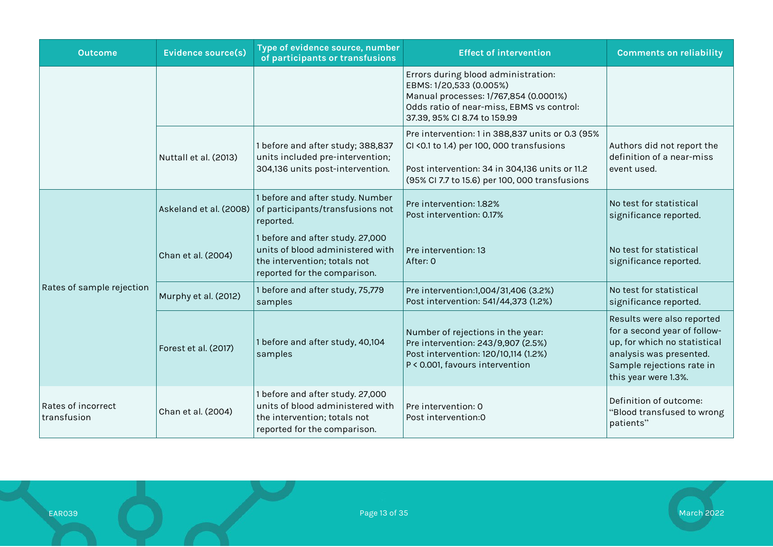| <b>Outcome</b>                    | <b>Evidence source(s)</b> | Type of evidence source, number<br>of participants or transfusions                                                                   | <b>Effect of intervention</b>                                                                                                                                                                     | <b>Comments on reliability</b>                                                                                                                                             |
|-----------------------------------|---------------------------|--------------------------------------------------------------------------------------------------------------------------------------|---------------------------------------------------------------------------------------------------------------------------------------------------------------------------------------------------|----------------------------------------------------------------------------------------------------------------------------------------------------------------------------|
|                                   |                           |                                                                                                                                      | Errors during blood administration:<br>EBMS: 1/20,533 (0.005%)<br>Manual processes: 1/767,854 (0.0001%)<br>Odds ratio of near-miss, EBMS vs control:<br>37.39, 95% CI 8.74 to 159.99              |                                                                                                                                                                            |
|                                   | Nuttall et al. (2013)     | 1 before and after study; 388,837<br>units included pre-intervention;<br>304,136 units post-intervention.                            | Pre intervention: 1 in 388,837 units or 0.3 (95%<br>CI <0.1 to 1.4) per 100, 000 transfusions<br>Post intervention: 34 in 304,136 units or 11.2<br>(95% Cl 7.7 to 15.6) per 100, 000 transfusions | Authors did not report the<br>definition of a near-miss<br>event used.                                                                                                     |
|                                   | Askeland et al. (2008)    | 1 before and after study. Number<br>of participants/transfusions not<br>reported.                                                    | Pre intervention: 1.82%<br>Post intervention: 0.17%                                                                                                                                               | No test for statistical<br>significance reported.                                                                                                                          |
|                                   | Chan et al. (2004)        | 1 before and after study. 27,000<br>units of blood administered with<br>the intervention; totals not<br>reported for the comparison. | Pre intervention: 13<br>After: 0                                                                                                                                                                  | No test for statistical<br>significance reported.                                                                                                                          |
| Rates of sample rejection         | Murphy et al. (2012)      | 1 before and after study, 75,779<br>samples                                                                                          | Pre intervention:1,004/31,406 (3.2%)<br>Post intervention: 541/44,373 (1.2%)                                                                                                                      | No test for statistical<br>significance reported.                                                                                                                          |
|                                   | Forest et al. (2017)      | 1 before and after study, 40,104<br>samples                                                                                          | Number of rejections in the year:<br>Pre intervention: 243/9,907 (2.5%)<br>Post intervention: 120/10,114 (1.2%)<br>P < 0.001, favours intervention                                                | Results were also reported<br>for a second year of follow-<br>up, for which no statistical<br>analysis was presented.<br>Sample rejections rate in<br>this year were 1.3%. |
| Rates of incorrect<br>transfusion | Chan et al. (2004)        | 1 before and after study. 27,000<br>units of blood administered with<br>the intervention; totals not<br>reported for the comparison. | Pre intervention: 0<br>Post intervention:0                                                                                                                                                        | Definition of outcome:<br>"Blood transfused to wrong<br>patients"                                                                                                          |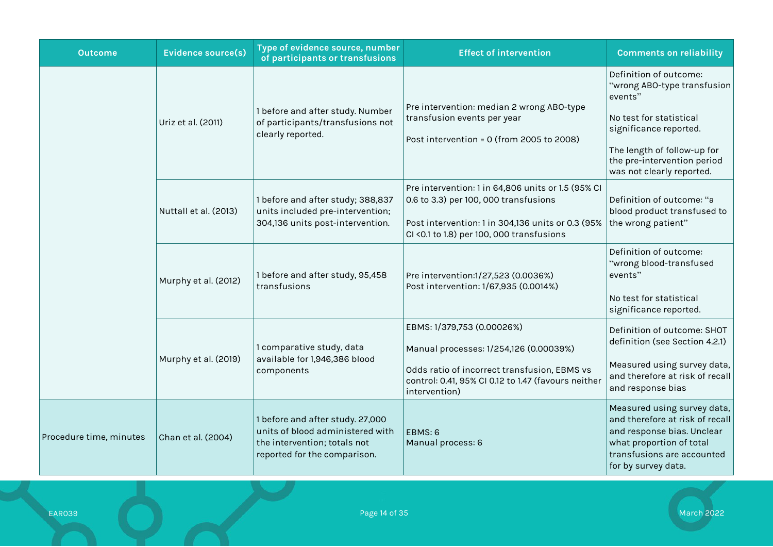| <b>Outcome</b>          | <b>Evidence source(s)</b> | Type of evidence source, number<br>of participants or transfusions                                                                   | <b>Effect of intervention</b>                                                                                                                                                                  | <b>Comments on reliability</b>                                                                                                                                                                                   |
|-------------------------|---------------------------|--------------------------------------------------------------------------------------------------------------------------------------|------------------------------------------------------------------------------------------------------------------------------------------------------------------------------------------------|------------------------------------------------------------------------------------------------------------------------------------------------------------------------------------------------------------------|
|                         | Uriz et al. (2011)        | 1 before and after study. Number<br>of participants/transfusions not<br>clearly reported.                                            | Pre intervention: median 2 wrong ABO-type<br>transfusion events per year<br>Post intervention = 0 (from 2005 to 2008)                                                                          | Definition of outcome:<br>"wrong ABO-type transfusion<br>events"<br>No test for statistical<br>significance reported.<br>The length of follow-up for<br>the pre-intervention period<br>was not clearly reported. |
|                         | Nuttall et al. (2013)     | 1 before and after study; 388,837<br>units included pre-intervention;<br>304,136 units post-intervention.                            | Pre intervention: 1 in 64,806 units or 1.5 (95% CI<br>0.6 to 3.3) per 100, 000 transfusions<br>Post intervention: 1 in 304,136 units or 0.3 (95%<br>CI < 0.1 to 1.8) per 100, 000 transfusions | Definition of outcome: "a<br>blood product transfused to<br>the wrong patient"                                                                                                                                   |
|                         | Murphy et al. (2012)      | 1 before and after study, 95,458<br>transfusions                                                                                     | Pre intervention:1/27,523 (0.0036%)<br>Post intervention: 1/67,935 (0.0014%)                                                                                                                   | Definition of outcome:<br>"wrong blood-transfused<br>events"<br>No test for statistical<br>significance reported.                                                                                                |
|                         | Murphy et al. (2019)      | 1 comparative study, data<br>available for 1,946,386 blood<br>components                                                             | EBMS: 1/379,753 (0.00026%)<br>Manual processes: 1/254,126 (0.00039%)<br>Odds ratio of incorrect transfusion, EBMS vs<br>control: 0.41, 95% CI 0.12 to 1.47 (favours neither<br>intervention)   | Definition of outcome: SHOT<br>definition (see Section 4.2.1)<br>Measured using survey data,<br>and therefore at risk of recall<br>and response bias                                                             |
| Procedure time, minutes | Chan et al. (2004)        | 1 before and after study. 27,000<br>units of blood administered with<br>the intervention; totals not<br>reported for the comparison. | EBMS: 6<br>Manual process: 6                                                                                                                                                                   | Measured using survey data,<br>and therefore at risk of recall<br>and response bias. Unclear<br>what proportion of total<br>transfusions are accounted<br>for by survey data.                                    |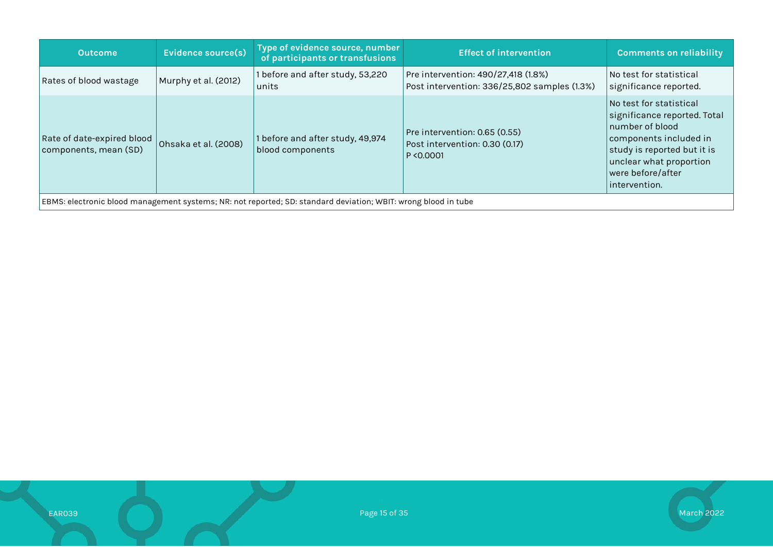| <b>Outcome</b>                                                                                                 | Evidence source(s)   | Type of evidence source, number<br>of participants or transfusions | <b>Effect of intervention</b>                                                       | <b>Comments on reliability</b>                                                                                                                                                                           |  |
|----------------------------------------------------------------------------------------------------------------|----------------------|--------------------------------------------------------------------|-------------------------------------------------------------------------------------|----------------------------------------------------------------------------------------------------------------------------------------------------------------------------------------------------------|--|
| Rates of blood wastage                                                                                         | Murphy et al. (2012) | 1 before and after study, 53,220<br>units                          | Pre intervention: 490/27,418 (1.8%)<br>Post intervention: 336/25,802 samples (1.3%) | No test for statistical<br>significance reported.                                                                                                                                                        |  |
| Rate of date-expired blood<br>components, mean (SD)                                                            | Ohsaka et al. (2008) | 1 before and after study, 49,974<br>blood components               | Pre intervention: 0.65 (0.55)<br>Post intervention: 0.30 (0.17)<br>P < 0.0001       | No test for statistical<br>$ $ significance reported. Total<br>number of blood<br>components included in<br>study is reported but it is<br>unclear what proportion<br>were before/after<br>intervention. |  |
| EBMS: electronic blood management systems; NR: not reported; SD: standard deviation; WBIT: wrong blood in tube |                      |                                                                    |                                                                                     |                                                                                                                                                                                                          |  |

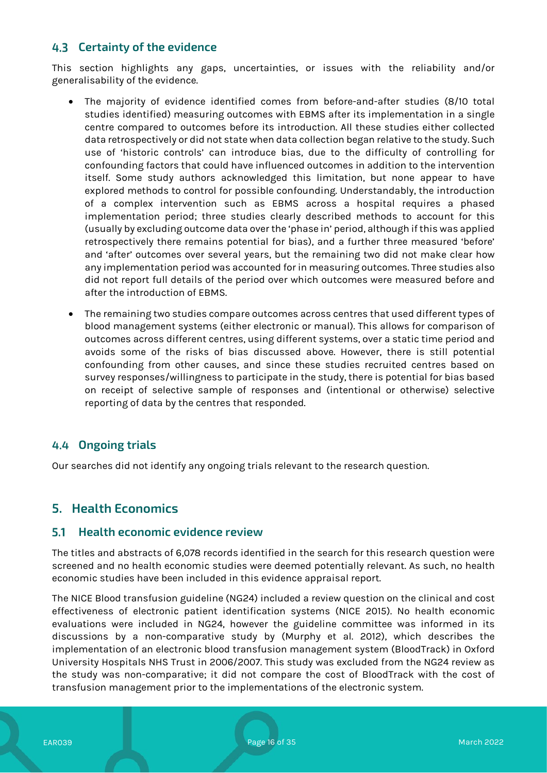### **Certainty of the evidence**

This section highlights any gaps, uncertainties, or issues with the reliability and/or generalisability of the evidence.

- The majority of evidence identified comes from before-and-after studies (8/10 total studies identified) measuring outcomes with EBMS after its implementation in a single centre compared to outcomes before its introduction. All these studies either collected data retrospectively or did not state when data collection began relative to the study. Such use of 'historic controls' can introduce bias, due to the difficulty of controlling for confounding factors that could have influenced outcomes in addition to the intervention itself. Some study authors acknowledged this limitation, but none appear to have explored methods to control for possible confounding. Understandably, the introduction of a complex intervention such as EBMS across a hospital requires a phased implementation period; three studies clearly described methods to account for this (usually by excluding outcome data over the 'phase in' period, although if this was applied retrospectively there remains potential for bias), and a further three measured 'before' and 'after' outcomes over several years, but the remaining two did not make clear how any implementation period was accounted for in measuring outcomes. Three studies also did not report full details of the period over which outcomes were measured before and after the introduction of EBMS.
- The remaining two studies compare outcomes across centres that used different types of blood management systems (either electronic or manual). This allows for comparison of outcomes across different centres, using different systems, over a static time period and avoids some of the risks of bias discussed above. However, there is still potential confounding from other causes, and since these studies recruited centres based on survey responses/willingness to participate in the study, there is potential for bias based on receipt of selective sample of responses and (intentional or otherwise) selective reporting of data by the centres that responded.

### **Ongoing trials**

Our searches did not identify any ongoing trials relevant to the research question.

### **5. Health Economics**

#### **Health economic evidence review**

The titles and abstracts of 6,078 records identified in the search for this research question were screened and no health economic studies were deemed potentially relevant. As such, no health economic studies have been included in this evidence appraisal report.

The NICE Blood transfusion guideline (NG24) included a review question on the clinical and cost effectiveness of electronic patient identification systems (NICE 2015). No health economic evaluations were included in NG24, however the guideline committee was informed in its discussions by a non-comparative study by (Murphy et al. 2012), which describes the implementation of an electronic blood transfusion management system (BloodTrack) in Oxford University Hospitals NHS Trust in 2006/2007. This study was excluded from the NG24 review as the study was non-comparative; it did not compare the cost of BloodTrack with the cost of transfusion management prior to the implementations of the electronic system.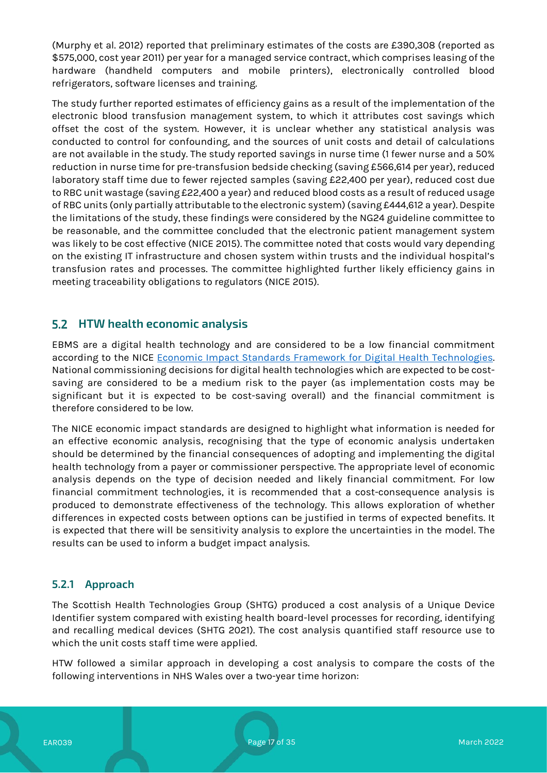(Murphy et al. 2012) reported that preliminary estimates of the costs are £390,308 (reported as \$575,000, cost year 2011) per year for a managed service contract, which comprises leasing of the hardware (handheld computers and mobile printers), electronically controlled blood refrigerators, software licenses and training.

The study further reported estimates of efficiency gains as a result of the implementation of the electronic blood transfusion management system, to which it attributes cost savings which offset the cost of the system. However, it is unclear whether any statistical analysis was conducted to control for confounding, and the sources of unit costs and detail of calculations are not available in the study. The study reported savings in nurse time (1 fewer nurse and a 50% reduction in nurse time for pre-transfusion bedside checking (saving £566,614 per year), reduced laboratory staff time due to fewer rejected samples (saving £22,400 per year), reduced cost due to RBC unit wastage (saving £22,400 a year) and reduced blood costs as a result of reduced usage of RBC units (only partially attributable to the electronic system) (saving £444,612 a year). Despite the limitations of the study, these findings were considered by the NG24 guideline committee to be reasonable, and the committee concluded that the electronic patient management system was likely to be cost effective (NICE 2015). The committee noted that costs would vary depending on the existing IT infrastructure and chosen system within trusts and the individual hospital's transfusion rates and processes. The committee highlighted further likely efficiency gains in meeting traceability obligations to regulators (NICE 2015).

### **HTW health economic analysis**

EBMS are a digital health technology and are considered to be a low financial commitment according to the NICE Economic Impact Standards Framework for Digital Health Technologies. National commissioning decisions for digital health technologies which are expected to be costsaving are considered to be a medium risk to the payer (as implementation costs may be significant but it is expected to be cost-saving overall) and the financial commitment is therefore considered to be low.

The NICE economic impact standards are designed to highlight what information is needed for an effective economic analysis, recognising that the type of economic analysis undertaken should be determined by the financial consequences of adopting and implementing the digital health technology from a payer or commissioner perspective. The appropriate level of economic analysis depends on the type of decision needed and likely financial commitment. For low financial commitment technologies, it is recommended that a cost-consequence analysis is produced to demonstrate effectiveness of the technology. This allows exploration of whether differences in expected costs between options can be justified in terms of expected benefits. It is expected that there will be sensitivity analysis to explore the uncertainties in the model. The results can be used to inform a budget impact analysis.

### **5.2.1 Approach**

The Scottish Health Technologies Group (SHTG) produced a cost analysis of a Unique Device Identifier system compared with existing health board-level processes for recording, identifying and recalling medical devices (SHTG 2021). The cost analysis quantified staff resource use to which the unit costs staff time were applied.

HTW followed a similar approach in developing a cost analysis to compare the costs of the following interventions in NHS Wales over a two-year time horizon: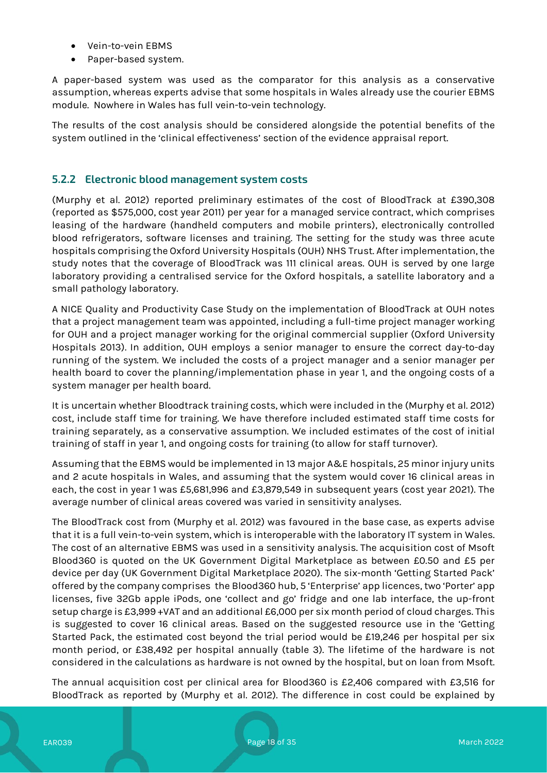- Vein-to-vein EBMS
- Paper-based system.

A paper-based system was used as the comparator for this analysis as a conservative assumption, whereas experts advise that some hospitals in Wales already use the courier EBMS module. Nowhere in Wales has full vein-to-vein technology.

The results of the cost analysis should be considered alongside the potential benefits of the system outlined in the 'clinical effectiveness' section of the evidence appraisal report.

#### **5.2.2 Electronic blood management system costs**

(Murphy et al. 2012) reported preliminary estimates of the cost of BloodTrack at £390,308 (reported as \$575,000, cost year 2011) per year for a managed service contract, which comprises leasing of the hardware (handheld computers and mobile printers), electronically controlled blood refrigerators, software licenses and training. The setting for the study was three acute hospitals comprising the Oxford University Hospitals (OUH) NHS Trust. After implementation, the study notes that the coverage of BloodTrack was 111 clinical areas. OUH is served by one large laboratory providing a centralised service for the Oxford hospitals, a satellite laboratory and a small pathology laboratory.

A NICE Quality and Productivity Case Study on the implementation of BloodTrack at OUH notes that a project management team was appointed, including a full-time project manager working for OUH and a project manager working for the original commercial supplier (Oxford University Hospitals 2013). In addition, OUH employs a senior manager to ensure the correct day-to-day running of the system. We included the costs of a project manager and a senior manager per health board to cover the planning/implementation phase in year 1, and the ongoing costs of a system manager per health board.

It is uncertain whether Bloodtrack training costs, which were included in the (Murphy et al. 2012) cost, include staff time for training. We have therefore included estimated staff time costs for training separately, as a conservative assumption. We included estimates of the cost of initial training of staff in year 1, and ongoing costs for training (to allow for staff turnover).

Assuming that the EBMS would be implemented in 13 major A&E hospitals, 25 minor injury units and 2 acute hospitals in Wales, and assuming that the system would cover 16 clinical areas in each, the cost in year 1 was £5,681,996 and £3,879,549 in subsequent years (cost year 2021). The average number of clinical areas covered was varied in sensitivity analyses.

The BloodTrack cost from (Murphy et al. 2012) was favoured in the base case, as experts advise that it is a full vein-to-vein system, which is interoperable with the laboratory IT system in Wales. The cost of an alternative EBMS was used in a sensitivity analysis. The acquisition cost of Msoft Blood360 is quoted on the UK Government Digital Marketplace as between £0.50 and £5 per device per day (UK Government Digital Marketplace 2020). The six-month 'Getting Started Pack' offered by the company comprises the Blood360 hub, 5 'Enterprise' app licences, two 'Porter' app licenses, five 32Gb apple iPods, one 'collect and go' fridge and one lab interface, the up-front setup charge is £3,999 +VAT and an additional £6,000 per six month period of cloud charges. This is suggested to cover 16 clinical areas. Based on the suggested resource use in the 'Getting Started Pack, the estimated cost beyond the trial period would be £19,246 per hospital per six month period, or £38,492 per hospital annually (table 3). The lifetime of the hardware is not considered in the calculations as hardware is not owned by the hospital, but on loan from Msoft.

The annual acquisition cost per clinical area for Blood360 is £2,406 compared with £3,516 for BloodTrack as reported by (Murphy et al. 2012). The difference in cost could be explained by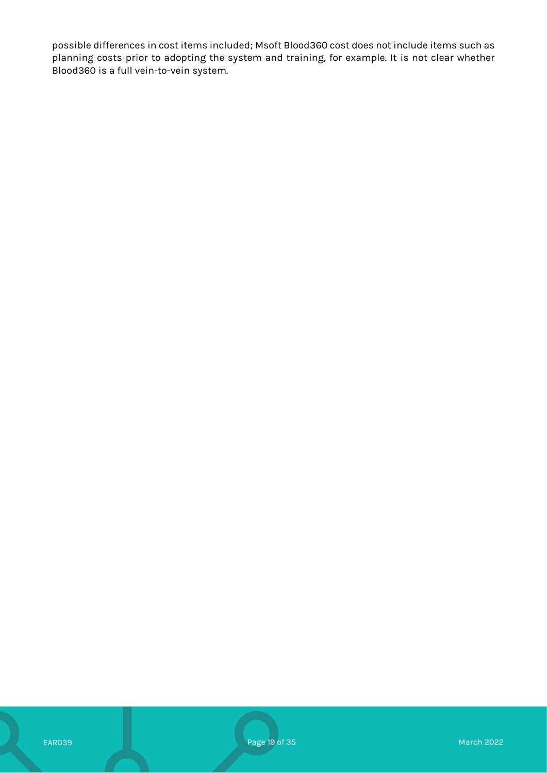possible differences in cost items included; Msoft Blood360 cost does not include items such as planning costs prior to adopting the system and training, for example. It is not clear whether Blood360 is a full vein-to-vein system.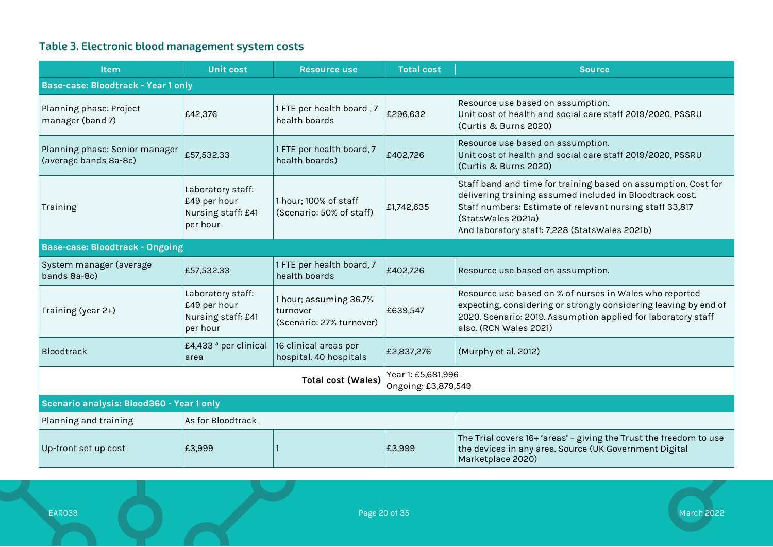# **Table 3. Electronic blood management system costs**

| <b>Item</b>                                             | <b>Unit cost</b>                                                    | <b>Resource use</b>                                            | <b>Total cost</b>                         | <b>Source</b>                                                                                                                                                                                                                                                  |  |  |  |
|---------------------------------------------------------|---------------------------------------------------------------------|----------------------------------------------------------------|-------------------------------------------|----------------------------------------------------------------------------------------------------------------------------------------------------------------------------------------------------------------------------------------------------------------|--|--|--|
| Base-case: Bloodtrack - Year 1 only                     |                                                                     |                                                                |                                           |                                                                                                                                                                                                                                                                |  |  |  |
| Planning phase: Project<br>manager (band 7)             | £42,376                                                             | 1 FTE per health board, 7<br>health boards                     | £296,632                                  | Resource use based on assumption.<br>Unit cost of health and social care staff 2019/2020, PSSRU<br>(Curtis & Burns 2020)                                                                                                                                       |  |  |  |
| Planning phase: Senior manager<br>(average bands 8a-8c) | £57,532.33                                                          | 1 FTE per health board, 7<br>health boards)                    | £402,726                                  | Resource use based on assumption.<br>Unit cost of health and social care staff 2019/2020, PSSRU<br>(Curtis & Burns 2020)                                                                                                                                       |  |  |  |
| Training                                                | Laboratory staff:<br>£49 per hour<br>Nursing staff: £41<br>per hour | 1 hour; 100% of staff<br>(Scenario: 50% of staff)              | £1,742,635                                | Staff band and time for training based on assumption. Cost for<br>delivering training assumed included in Bloodtrack cost.<br>Staff numbers: Estimate of relevant nursing staff 33,817<br>(StatsWales 2021a)<br>And laboratory staff: 7,228 (StatsWales 2021b) |  |  |  |
| <b>Base-case: Bloodtrack - Ongoing</b>                  |                                                                     |                                                                |                                           |                                                                                                                                                                                                                                                                |  |  |  |
| System manager (average<br>bands 8a-8c)                 | £57,532.33                                                          | 1 FTE per health board, 7<br>health boards                     | £402,726                                  | Resource use based on assumption.                                                                                                                                                                                                                              |  |  |  |
| Training (year 2+)                                      | Laboratory staff:<br>£49 per hour<br>Nursing staff: £41<br>per hour | 1 hour; assuming 36.7%<br>turnover<br>(Scenario: 27% turnover) | £639,547                                  | Resource use based on % of nurses in Wales who reported<br>expecting, considering or strongly considering leaving by end of<br>2020. Scenario: 2019. Assumption applied for laboratory staff<br>also. (RCN Wales 2021)                                         |  |  |  |
| Bloodtrack                                              | £4,433 <sup>ª</sup> per clinical<br>area                            | 16 clinical areas per<br>hospital. 40 hospitals                | £2,837,276                                | (Murphy et al. 2012)                                                                                                                                                                                                                                           |  |  |  |
|                                                         |                                                                     | <b>Total cost (Wales)</b>                                      | Year 1: £5,681,996<br>Ongoing: £3,879,549 |                                                                                                                                                                                                                                                                |  |  |  |
| Scenario analysis: Blood360 - Year 1 only               |                                                                     |                                                                |                                           |                                                                                                                                                                                                                                                                |  |  |  |
| Planning and training                                   | As for Bloodtrack                                                   |                                                                |                                           |                                                                                                                                                                                                                                                                |  |  |  |
| Up-front set up cost                                    | £3,999                                                              |                                                                | £3,999                                    | The Trial covers 16+ 'areas' - giving the Trust the freedom to use<br>the devices in any area. Source (UK Government Digital<br>Marketplace 2020)                                                                                                              |  |  |  |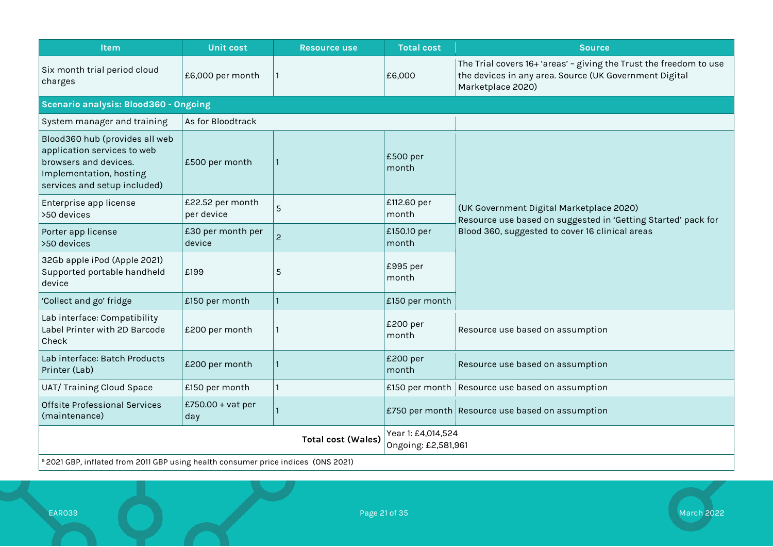| Item                                                                                                                                              | <b>Unit cost</b>               | <b>Resource use</b>       | <b>Total cost</b>                         | <b>Source</b>                                                                                                                                     |  |
|---------------------------------------------------------------------------------------------------------------------------------------------------|--------------------------------|---------------------------|-------------------------------------------|---------------------------------------------------------------------------------------------------------------------------------------------------|--|
| Six month trial period cloud<br>charges                                                                                                           | £6,000 per month               |                           | £6,000                                    | The Trial covers 16+ 'areas' - giving the Trust the freedom to use<br>the devices in any area. Source (UK Government Digital<br>Marketplace 2020) |  |
| Scenario analysis: Blood360 - Ongoing                                                                                                             |                                |                           |                                           |                                                                                                                                                   |  |
| System manager and training                                                                                                                       | As for Bloodtrack              |                           |                                           |                                                                                                                                                   |  |
| Blood360 hub (provides all web<br>application services to web<br>browsers and devices.<br>Implementation, hosting<br>services and setup included) | £500 per month                 |                           | £500 per<br>month                         |                                                                                                                                                   |  |
| Enterprise app license<br>>50 devices                                                                                                             | £22.52 per month<br>per device | 5                         | £112.60 per<br>month                      | (UK Government Digital Marketplace 2020)<br>Resource use based on suggested in 'Getting Started' pack for                                         |  |
| Porter app license<br>>50 devices                                                                                                                 | £30 per month per<br>device    | $\overline{c}$            | £150.10 per<br>month                      | Blood 360, suggested to cover 16 clinical areas                                                                                                   |  |
| 32Gb apple iPod (Apple 2021)<br>Supported portable handheld<br>device                                                                             | £199                           | 5                         | £995 per<br>month                         |                                                                                                                                                   |  |
| 'Collect and go' fridge                                                                                                                           | £150 per month                 |                           | £150 per month                            |                                                                                                                                                   |  |
| Lab interface: Compatibility<br>Label Printer with 2D Barcode<br>Check                                                                            | £200 per month                 |                           | £200 per<br>month                         | Resource use based on assumption                                                                                                                  |  |
| Lab interface: Batch Products<br>Printer (Lab)                                                                                                    | £200 per month                 |                           | £200 per<br>month                         | Resource use based on assumption                                                                                                                  |  |
| UAT/Training Cloud Space                                                                                                                          | £150 per month                 |                           |                                           | £150 per month Resource use based on assumption                                                                                                   |  |
| <b>Offsite Professional Services</b><br>(maintenance)                                                                                             | £750.00 + vat per<br>day       |                           |                                           | £750 per month Resource use based on assumption                                                                                                   |  |
|                                                                                                                                                   |                                | <b>Total cost (Wales)</b> | Year 1: £4,014,524<br>Ongoing: £2,581,961 |                                                                                                                                                   |  |
| a 2021 GBP, inflated from 2011 GBP using health consumer price indices (ONS 2021)                                                                 |                                |                           |                                           |                                                                                                                                                   |  |

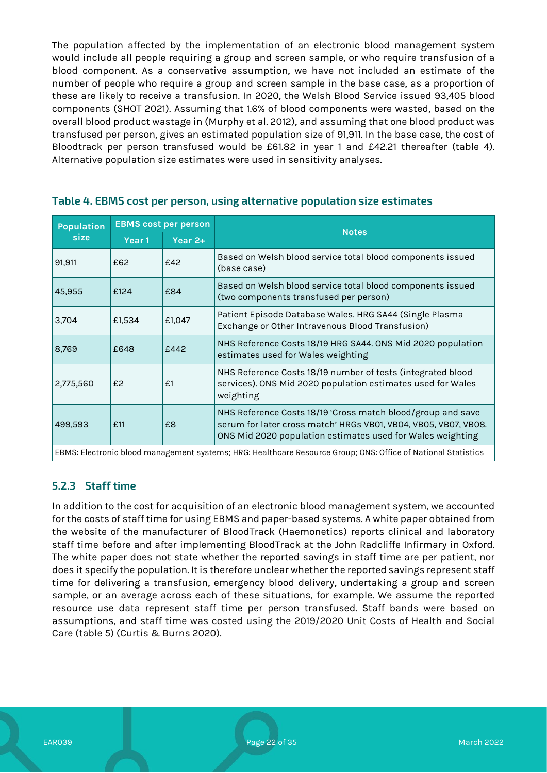The population affected by the implementation of an electronic blood management system would include all people requiring a group and screen sample, or who require transfusion of a blood component. As a conservative assumption, we have not included an estimate of the number of people who require a group and screen sample in the base case, as a proportion of these are likely to receive a transfusion. In 2020, the Welsh Blood Service issued 93,405 blood components (SHOT 2021). Assuming that 1.6% of blood components were wasted, based on the overall blood product wastage in (Murphy et al. 2012), and assuming that one blood product was transfused per person, gives an estimated population size of 91,911. In the base case, the cost of Bloodtrack per person transfused would be £61.82 in year 1 and £42.21 thereafter (table 4). Alternative population size estimates were used in sensitivity analyses.

| <b>Population</b> | <b>EBMS cost per person</b> |        | <b>Notes</b>                                                                                                                                                                                 |  |  |
|-------------------|-----------------------------|--------|----------------------------------------------------------------------------------------------------------------------------------------------------------------------------------------------|--|--|
| size              | Year $2+$<br>Year 1         |        |                                                                                                                                                                                              |  |  |
| 91,911            | £62                         | £42    | Based on Welsh blood service total blood components issued<br>(base case)                                                                                                                    |  |  |
| 45,955            | £124                        | £84    | Based on Welsh blood service total blood components issued<br>(two components transfused per person)                                                                                         |  |  |
| 3,704             | £1,534                      | £1,047 | Patient Episode Database Wales. HRG SA44 (Single Plasma<br>Exchange or Other Intravenous Blood Transfusion)                                                                                  |  |  |
| 8,769             | £648                        | £442   | NHS Reference Costs 18/19 HRG SA44. ONS Mid 2020 population<br>estimates used for Wales weighting                                                                                            |  |  |
| 2,775,560         | £2                          | f.1    | NHS Reference Costs 18/19 number of tests (integrated blood<br>services). ONS Mid 2020 population estimates used for Wales<br>weighting                                                      |  |  |
| 499,593           | £11                         | £8     | NHS Reference Costs 18/19 'Cross match blood/group and save<br>serum for later cross match' HRGs VB01, VB04, VB05, VB07, VB08.<br>ONS Mid 2020 population estimates used for Wales weighting |  |  |
|                   |                             |        |                                                                                                                                                                                              |  |  |

#### **Table 4. EBMS cost per person, using alternative population size estimates**

EBMS: Electronic blood management systems; HRG: Healthcare Resource Group; ONS: Office of National Statistics

### **5.2.3 Staff time**

In addition to the cost for acquisition of an electronic blood management system, we accounted for the costs of staff time for using EBMS and paper-based systems. A white paper obtained from the website of the manufacturer of BloodTrack (Haemonetics) reports clinical and laboratory staff time before and after implementing BloodTrack at the John Radcliffe Infirmary in Oxford. The white paper does not state whether the reported savings in staff time are per patient, nor does it specify the population. It is therefore unclear whether the reported savings represent staff time for delivering a transfusion, emergency blood delivery, undertaking a group and screen sample, or an average across each of these situations, for example. We assume the reported resource use data represent staff time per person transfused. Staff bands were based on assumptions, and staff time was costed using the 2019/2020 Unit Costs of Health and Social Care (table 5) (Curtis & Burns 2020).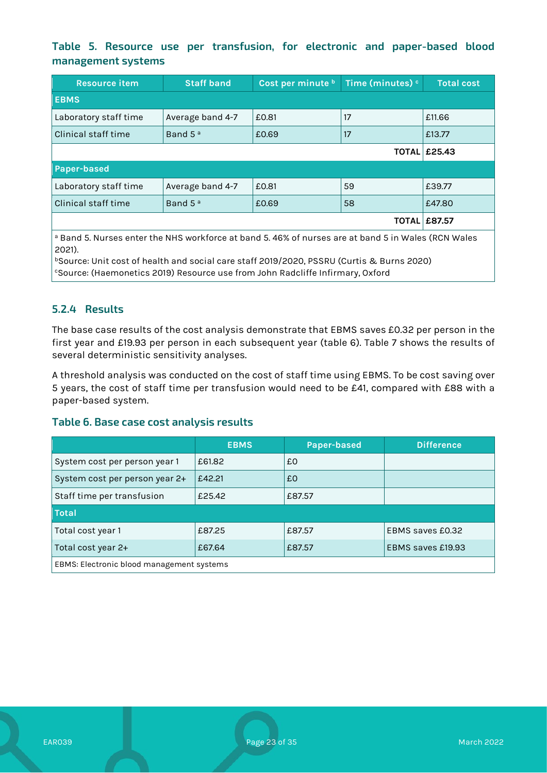### **Table 5. Resource use per transfusion, for electronic and paper-based blood management systems**

| <b>Resource item</b>                                                                                          | <b>Staff band</b>   | Cost per minute b | Time (minutes) <sup>c</sup> | Total cost          |
|---------------------------------------------------------------------------------------------------------------|---------------------|-------------------|-----------------------------|---------------------|
| <b>EBMS</b>                                                                                                   |                     |                   |                             |                     |
| Laboratory staff time                                                                                         | Average band 4-7    | £0.81             | 17                          | £11.66              |
| Clinical staff time                                                                                           | Band 5 <sup>a</sup> | £0.69             | 17                          | £13.77              |
|                                                                                                               |                     |                   |                             | <b>TOTAL £25.43</b> |
| <b>Paper-based</b>                                                                                            |                     |                   |                             |                     |
| Laboratory staff time                                                                                         | Average band 4-7    | £0.81             | 59                          | £39.77              |
| Clinical staff time                                                                                           | Band 5 <sup>a</sup> | £0.69             | 58                          | £47.80              |
| <b>TOTAL</b>                                                                                                  |                     |                   |                             | E87.57              |
| <sup>a</sup> Band 5. Nurses enter the NHS workforce at band 5.46% of nurses are at band 5 in Wales (RCN Wales |                     |                   |                             |                     |

2021). bSource: Unit cost of health and social care staff 2019/2020, PSSRU (Curtis & Burns 2020)

cSource: (Haemonetics 2019) Resource use from John Radcliffe Infirmary, Oxford

### **5.2.4 Results**

The base case results of the cost analysis demonstrate that EBMS saves £0.32 per person in the first year and £19.93 per person in each subsequent year (table 6). Table 7 shows the results of several deterministic sensitivity analyses.

A threshold analysis was conducted on the cost of staff time using EBMS. To be cost saving over 5 years, the cost of staff time per transfusion would need to be £41, compared with £88 with a paper-based system.

#### **Table 6. Base case cost analysis results**

|                                           | <b>EBMS</b> | Paper-based | <b>Difference</b> |  |
|-------------------------------------------|-------------|-------------|-------------------|--|
| System cost per person year 1             | £61.82      | £0          |                   |  |
| System cost per person year 2+            | £42.21      | £0          |                   |  |
| Staff time per transfusion                | £25.42      | £87.57      |                   |  |
| <b>Total</b>                              |             |             |                   |  |
| Total cost year 1                         | £87.25      | £87.57      | EBMS saves £0.32  |  |
| Total cost year 2+                        | £67.64      | £87.57      | EBMS saves £19.93 |  |
| EBMS: Electronic blood management systems |             |             |                   |  |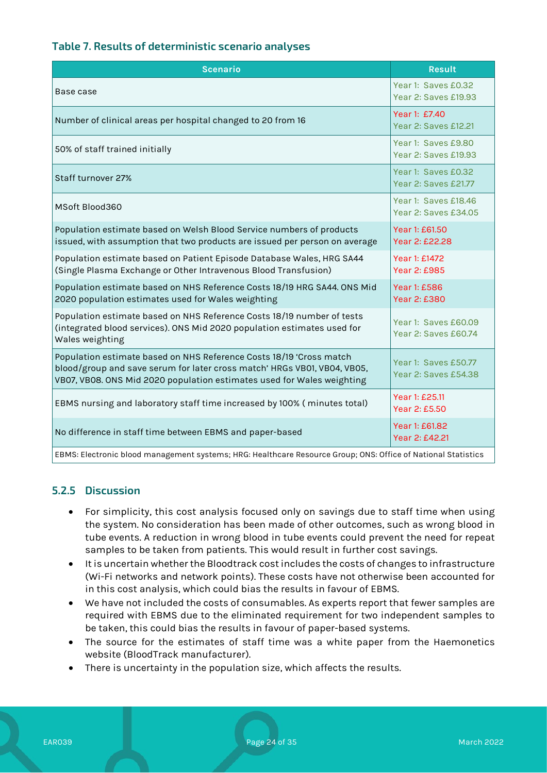#### **Table 7. Results of deterministic scenario analyses**

| <b>Scenario</b>                                                                                                                                                                                                           | <b>Result</b>                                |  |
|---------------------------------------------------------------------------------------------------------------------------------------------------------------------------------------------------------------------------|----------------------------------------------|--|
| Base case                                                                                                                                                                                                                 | Year 1: Saves £0.32<br>Year 2: Saves £19.93  |  |
| Number of clinical areas per hospital changed to 20 from 16                                                                                                                                                               | Year 1: £7.40<br>Year 2: Saves £12.21        |  |
| 50% of staff trained initially                                                                                                                                                                                            | Year 1: Saves £9.80<br>Year 2: Saves £19.93  |  |
| Staff turnover 27%                                                                                                                                                                                                        | Year 1: Saves £0.32<br>Year 2: Saves £21.77  |  |
| MSoft Blood360                                                                                                                                                                                                            | Year 1: Saves £18.46<br>Year 2: Saves £34.05 |  |
| Population estimate based on Welsh Blood Service numbers of products<br>issued, with assumption that two products are issued per person on average                                                                        | Year 1: £61.50<br>Year 2: £22.28             |  |
| Population estimate based on Patient Episode Database Wales, HRG SA44<br>(Single Plasma Exchange or Other Intravenous Blood Transfusion)                                                                                  | Year 1: £1472<br>Year 2: £985                |  |
| Population estimate based on NHS Reference Costs 18/19 HRG SA44. ONS Mid<br>2020 population estimates used for Wales weighting                                                                                            | Year 1: £586<br>Year 2: £380                 |  |
| Population estimate based on NHS Reference Costs 18/19 number of tests<br>(integrated blood services). ONS Mid 2020 population estimates used for<br>Wales weighting                                                      | Year 1: Saves £60.09<br>Year 2: Saves £60.74 |  |
| Population estimate based on NHS Reference Costs 18/19 'Cross match<br>blood/group and save serum for later cross match' HRGs VB01, VB04, VB05,<br>VB07, VB08. ONS Mid 2020 population estimates used for Wales weighting | Year 1: Saves £50.77<br>Year 2: Saves £54.38 |  |
| EBMS nursing and laboratory staff time increased by 100% (minutes total)                                                                                                                                                  | Year 1: £25.11<br>Year 2: £5.50              |  |
| No difference in staff time between EBMS and paper-based                                                                                                                                                                  | Year 1: £61.82<br>Year 2: £42.21             |  |
| EBMS: Electronic blood management systems; HRG: Healthcare Resource Group; ONS: Office of National Statistics                                                                                                             |                                              |  |

#### **5.2.5 Discussion**

- For simplicity, this cost analysis focused only on savings due to staff time when using the system. No consideration has been made of other outcomes, such as wrong blood in tube events. A reduction in wrong blood in tube events could prevent the need for repeat samples to be taken from patients. This would result in further cost savings.
- It is uncertain whether the Bloodtrack cost includes the costs of changes to infrastructure (Wi-Fi networks and network points). These costs have not otherwise been accounted for in this cost analysis, which could bias the results in favour of EBMS.
- We have not included the costs of consumables. As experts report that fewer samples are required with EBMS due to the eliminated requirement for two independent samples to be taken, this could bias the results in favour of paper-based systems.
- The source for the estimates of staff time was a white paper from the Haemonetics website (BloodTrack manufacturer).
- There is uncertainty in the population size, which affects the results.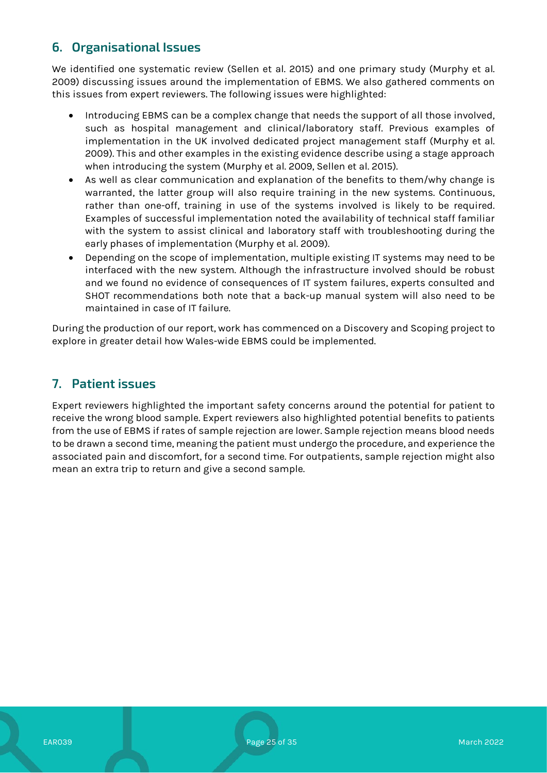# **6. Organisational Issues**

We identified one systematic review (Sellen et al. 2015) and one primary study (Murphy et al. 2009) discussing issues around the implementation of EBMS. We also gathered comments on this issues from expert reviewers. The following issues were highlighted:

- Introducing EBMS can be a complex change that needs the support of all those involved, such as hospital management and clinical/laboratory staff. Previous examples of implementation in the UK involved dedicated project management staff (Murphy et al. 2009). This and other examples in the existing evidence describe using a stage approach when introducing the system (Murphy et al. 2009, Sellen et al. 2015).
- As well as clear communication and explanation of the benefits to them/why change is warranted, the latter group will also require training in the new systems. Continuous, rather than one-off, training in use of the systems involved is likely to be required. Examples of successful implementation noted the availability of technical staff familiar with the system to assist clinical and laboratory staff with troubleshooting during the early phases of implementation (Murphy et al. 2009).
- Depending on the scope of implementation, multiple existing IT systems may need to be interfaced with the new system. Although the infrastructure involved should be robust and we found no evidence of consequences of IT system failures, experts consulted and SHOT recommendations both note that a back-up manual system will also need to be maintained in case of IT failure.

During the production of our report, work has commenced on a Discovery and Scoping project to explore in greater detail how Wales-wide EBMS could be implemented.

### **7. Patient issues**

Expert reviewers highlighted the important safety concerns around the potential for patient to receive the wrong blood sample. Expert reviewers also highlighted potential benefits to patients from the use of EBMS if rates of sample rejection are lower. Sample rejection means blood needs to be drawn a second time, meaning the patient must undergo the procedure, and experience the associated pain and discomfort, for a second time. For outpatients, sample rejection might also mean an extra trip to return and give a second sample.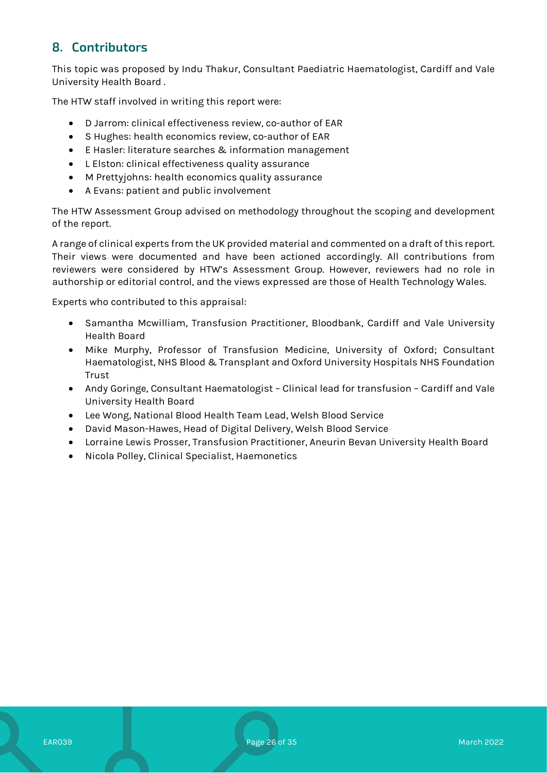# **8. Contributors**

This topic was proposed by Indu Thakur, Consultant Paediatric Haematologist, Cardiff and Vale University Health Board .

The HTW staff involved in writing this report were:

- D Jarrom: clinical effectiveness review, co-author of EAR
- S Hughes: health economics review, co-author of EAR
- E Hasler: literature searches & information management
- L Elston: clinical effectiveness quality assurance
- M Prettyjohns: health economics quality assurance
- A Evans: patient and public involvement

The HTW Assessment Group advised on methodology throughout the scoping and development of the report.

A range of clinical experts from the UK provided material and commented on a draft of this report. Their views were documented and have been actioned accordingly. All contributions from reviewers were considered by HTW's Assessment Group. However, reviewers had no role in authorship or editorial control, and the views expressed are those of Health Technology Wales.

Experts who contributed to this appraisal:

- Samantha Mcwilliam, Transfusion Practitioner, Bloodbank, Cardiff and Vale University Health Board
- Mike Murphy, Professor of Transfusion Medicine, University of Oxford; Consultant Haematologist, NHS Blood & Transplant and Oxford University Hospitals NHS Foundation Trust
- Andy Goringe, Consultant Haematologist Clinical lead for transfusion Cardiff and Vale University Health Board
- Lee Wong, National Blood Health Team Lead, Welsh Blood Service
- David Mason-Hawes, Head of Digital Delivery, Welsh Blood Service
- Lorraine Lewis Prosser, Transfusion Practitioner, Aneurin Bevan University Health Board
- Nicola Polley, Clinical Specialist, Haemonetics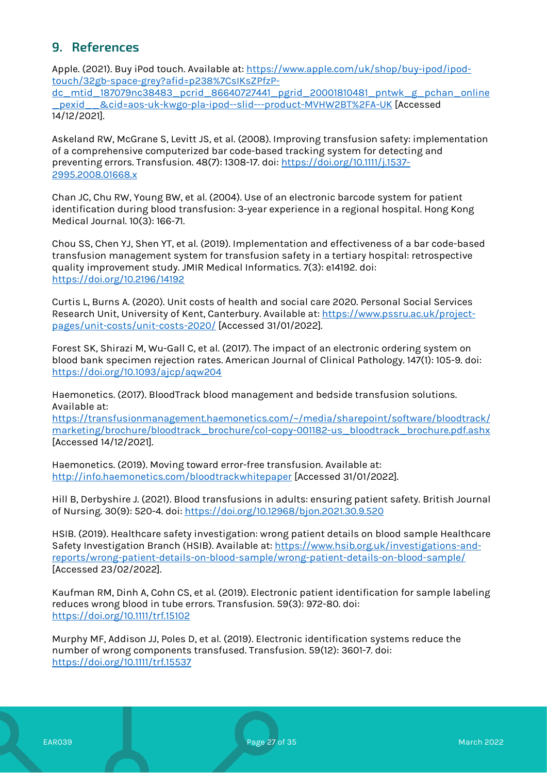# **9. References**

Apple. (2021). Buy iPod touch. Available at: [https://www.apple.com/uk/shop/buy-ipod/ipod](https://www.apple.com/uk/shop/buy-ipod/ipod-touch/32gb-space-grey?afid=p238%7CsIKsZPfzP-dc_mtid_187079nc38483_pcrid_86640727441_pgrid_20001810481_pntwk_g_pchan_online_pexid__&cid=aos-uk-kwgo-pla-ipod--slid---product-MVHW2BT%2FA-UK)[touch/32gb-space-grey?afid=p238%7CsIKsZPfzP-](https://www.apple.com/uk/shop/buy-ipod/ipod-touch/32gb-space-grey?afid=p238%7CsIKsZPfzP-dc_mtid_187079nc38483_pcrid_86640727441_pgrid_20001810481_pntwk_g_pchan_online_pexid__&cid=aos-uk-kwgo-pla-ipod--slid---product-MVHW2BT%2FA-UK)

[dc\\_mtid\\_187079nc38483\\_pcrid\\_86640727441\\_pgrid\\_20001810481\\_pntwk\\_g\\_pchan\\_online](https://www.apple.com/uk/shop/buy-ipod/ipod-touch/32gb-space-grey?afid=p238%7CsIKsZPfzP-dc_mtid_187079nc38483_pcrid_86640727441_pgrid_20001810481_pntwk_g_pchan_online_pexid__&cid=aos-uk-kwgo-pla-ipod--slid---product-MVHW2BT%2FA-UK) [\\_pexid\\_\\_&cid=aos-uk-kwgo-pla-ipod--slid---product-MVHW2BT%2FA-UK](https://www.apple.com/uk/shop/buy-ipod/ipod-touch/32gb-space-grey?afid=p238%7CsIKsZPfzP-dc_mtid_187079nc38483_pcrid_86640727441_pgrid_20001810481_pntwk_g_pchan_online_pexid__&cid=aos-uk-kwgo-pla-ipod--slid---product-MVHW2BT%2FA-UK) [Accessed 14/12/2021].

Askeland RW, McGrane S, Levitt JS, et al. (2008). Improving transfusion safety: implementation of a comprehensive computerized bar code-based tracking system for detecting and preventing errors. Transfusion. 48(7): 1308-17. doi: [https://doi.org/10.1111/j.1537-](https://doi.org/10.1111/j.1537-2995.2008.01668.x) [2995.2008.01668.x](https://doi.org/10.1111/j.1537-2995.2008.01668.x)

Chan JC, Chu RW, Young BW, et al. (2004). Use of an electronic barcode system for patient identification during blood transfusion: 3-year experience in a regional hospital. Hong Kong Medical Journal. 10(3): 166-71.

Chou SS, Chen YJ, Shen YT, et al. (2019). Implementation and effectiveness of a bar code-based transfusion management system for transfusion safety in a tertiary hospital: retrospective quality improvement study. JMIR Medical Informatics. 7(3): e14192. doi: <https://doi.org/10.2196/14192>

Curtis L, Burns A. (2020). Unit costs of health and social care 2020. Personal Social Services Research Unit, University of Kent, Canterbury. Available at[: https://www.pssru.ac.uk/project](https://www.pssru.ac.uk/project-pages/unit-costs/unit-costs-2020/)[pages/unit-costs/unit-costs-2020/](https://www.pssru.ac.uk/project-pages/unit-costs/unit-costs-2020/) [Accessed 31/01/2022].

Forest SK, Shirazi M, Wu-Gall C, et al. (2017). The impact of an electronic ordering system on blood bank specimen rejection rates. American Journal of Clinical Pathology. 147(1): 105-9. doi: <https://doi.org/10.1093/ajcp/aqw204>

Haemonetics. (2017). BloodTrack blood management and bedside transfusion solutions. Available at:

[https://transfusionmanagement.haemonetics.com/~/media/sharepoint/software/bloodtrack/](https://transfusionmanagement.haemonetics.com/%7E/media/sharepoint/software/bloodtrack/marketing/brochure/bloodtrack_brochure/col-copy-001182-us_bloodtrack_brochure.pdf.ashx) [marketing/brochure/bloodtrack\\_brochure/col-copy-001182-us\\_bloodtrack\\_brochure.pdf.ashx](https://transfusionmanagement.haemonetics.com/%7E/media/sharepoint/software/bloodtrack/marketing/brochure/bloodtrack_brochure/col-copy-001182-us_bloodtrack_brochure.pdf.ashx) [Accessed 14/12/2021].

Haemonetics. (2019). Moving toward error-free transfusion. Available at: <http://info.haemonetics.com/bloodtrackwhitepaper> [Accessed 31/01/2022].

Hill B, Derbyshire J. (2021). Blood transfusions in adults: ensuring patient safety. British Journal of Nursing. 30(9): 520-4. doi:<https://doi.org/10.12968/bjon.2021.30.9.520>

HSIB. (2019). Healthcare safety investigation: wrong patient details on blood sample Healthcare Safety Investigation Branch (HSIB). Available at: [https://www.hsib.org.uk/investigations-and](https://www.hsib.org.uk/investigations-and-reports/wrong-patient-details-on-blood-sample/wrong-patient-details-on-blood-sample/)[reports/wrong-patient-details-on-blood-sample/wrong-patient-details-on-blood-sample/](https://www.hsib.org.uk/investigations-and-reports/wrong-patient-details-on-blood-sample/wrong-patient-details-on-blood-sample/) [Accessed 23/02/2022].

Kaufman RM, Dinh A, Cohn CS, et al. (2019). Electronic patient identification for sample labeling reduces wrong blood in tube errors. Transfusion. 59(3): 972-80. doi: <https://doi.org/10.1111/trf.15102>

Murphy MF, Addison JJ, Poles D, et al. (2019). Electronic identification systems reduce the number of wrong components transfused. Transfusion. 59(12): 3601-7. doi: <https://doi.org/10.1111/trf.15537>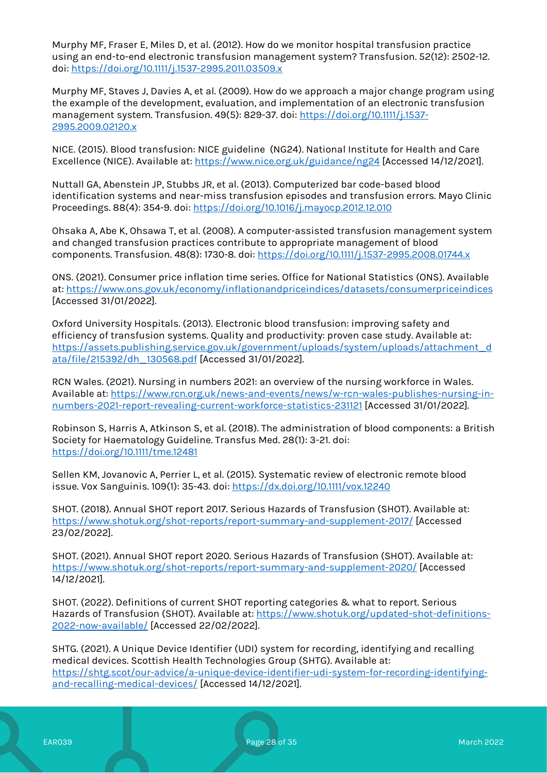Murphy MF, Fraser E, Miles D, et al. (2012). How do we monitor hospital transfusion practice using an end-to-end electronic transfusion management system? Transfusion. 52(12): 2502-12. doi[: https://doi.org/10.1111/j.1537-2995.2011.03509.x](https://doi.org/10.1111/j.1537-2995.2011.03509.x)

Murphy MF, Staves J, Davies A, et al. (2009). How do we approach a major change program using the example of the development, evaluation, and implementation of an electronic transfusion management system. Transfusion. 49(5): 829-37. doi: [https://doi.org/10.1111/j.1537-](https://doi.org/10.1111/j.1537-2995.2009.02120.x) [2995.2009.02120.x](https://doi.org/10.1111/j.1537-2995.2009.02120.x)

NICE. (2015). Blood transfusion: NICE guideline (NG24). National Institute for Health and Care Excellence (NICE). Available at:<https://www.nice.org.uk/guidance/ng24> [Accessed 14/12/2021].

Nuttall GA, Abenstein JP, Stubbs JR, et al. (2013). Computerized bar code-based blood identification systems and near-miss transfusion episodes and transfusion errors. Mayo Clinic Proceedings. 88(4): 354-9. doi:<https://doi.org/10.1016/j.mayocp.2012.12.010>

Ohsaka A, Abe K, Ohsawa T, et al. (2008). A computer-assisted transfusion management system and changed transfusion practices contribute to appropriate management of blood components. Transfusion. 48(8): 1730-8. doi:<https://doi.org/10.1111/j.1537-2995.2008.01744.x>

ONS. (2021). Consumer price inflation time series. Office for National Statistics (ONS). Available at:<https://www.ons.gov.uk/economy/inflationandpriceindices/datasets/consumerpriceindices> [Accessed 31/01/2022].

Oxford University Hospitals. (2013). Electronic blood transfusion: improving safety and efficiency of transfusion systems. Quality and productivity: proven case study. Available at: [https://assets.publishing.service.gov.uk/government/uploads/system/uploads/attachment\\_d](https://assets.publishing.service.gov.uk/government/uploads/system/uploads/attachment_data/file/215392/dh_130568.pdf) [ata/file/215392/dh\\_130568.pdf](https://assets.publishing.service.gov.uk/government/uploads/system/uploads/attachment_data/file/215392/dh_130568.pdf) [Accessed 31/01/2022].

RCN Wales. (2021). Nursing in numbers 2021: an overview of the nursing workforce in Wales. Available at: [https://www.rcn.org.uk/news-and-events/news/w-rcn-wales-publishes-nursing-in](https://www.rcn.org.uk/news-and-events/news/w-rcn-wales-publishes-nursing-in-numbers-2021-report-revealing-current-workforce-statistics-231121)[numbers-2021-report-revealing-current-workforce-statistics-231121](https://www.rcn.org.uk/news-and-events/news/w-rcn-wales-publishes-nursing-in-numbers-2021-report-revealing-current-workforce-statistics-231121) [Accessed 31/01/2022].

Robinson S, Harris A, Atkinson S, et al. (2018). The administration of blood components: a British Society for Haematology Guideline. Transfus Med. 28(1): 3-21. doi: <https://doi.org/10.1111/tme.12481>

Sellen KM, Jovanovic A, Perrier L, et al. (2015). Systematic review of electronic remote blood issue. Vox Sanguinis. 109(1): 35-43. doi:<https://dx.doi.org/10.1111/vox.12240>

SHOT. (2018). Annual SHOT report 2017. Serious Hazards of Transfusion (SHOT). Available at: <https://www.shotuk.org/shot-reports/report-summary-and-supplement-2017/> [Accessed 23/02/2022].

SHOT. (2021). Annual SHOT report 2020. Serious Hazards of Transfusion (SHOT). Available at: <https://www.shotuk.org/shot-reports/report-summary-and-supplement-2020/> [Accessed 14/12/2021].

SHOT. (2022). Definitions of current SHOT reporting categories & what to report. Serious Hazards of Transfusion (SHOT). Available at: [https://www.shotuk.org/updated-shot-definitions-](https://www.shotuk.org/updated-shot-definitions-2022-now-available/)[2022-now-available/](https://www.shotuk.org/updated-shot-definitions-2022-now-available/) [Accessed 22/02/2022].

SHTG. (2021). A Unique Device Identifier (UDI) system for recording, identifying and recalling medical devices. Scottish Health Technologies Group (SHTG). Available at: [https://shtg.scot/our-advice/a-unique-device-identifier-udi-system-for-recording-identifying](https://shtg.scot/our-advice/a-unique-device-identifier-udi-system-for-recording-identifying-and-recalling-medical-devices/)[and-recalling-medical-devices/](https://shtg.scot/our-advice/a-unique-device-identifier-udi-system-for-recording-identifying-and-recalling-medical-devices/) [Accessed 14/12/2021].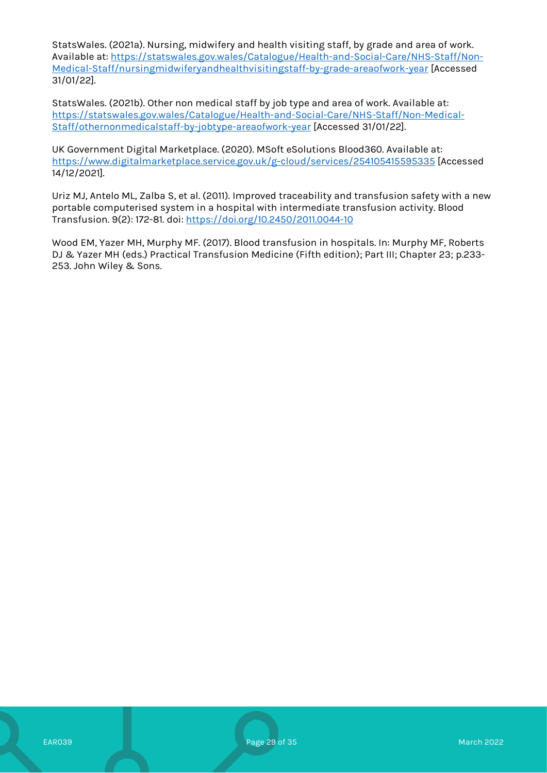StatsWales. (2021a). Nursing, midwifery and health visiting staff, by grade and area of work. Available at: [https://statswales.gov.wales/Catalogue/Health-and-Social-Care/NHS-Staff/Non-](https://statswales.gov.wales/Catalogue/Health-and-Social-Care/NHS-Staff/Non-Medical-Staff/nursingmidwiferyandhealthvisitingstaff-by-grade-areaofwork-year)[Medical-Staff/nursingmidwiferyandhealthvisitingstaff-by-grade-areaofwork-year](https://statswales.gov.wales/Catalogue/Health-and-Social-Care/NHS-Staff/Non-Medical-Staff/nursingmidwiferyandhealthvisitingstaff-by-grade-areaofwork-year) [Accessed 31/01/22].

StatsWales. (2021b). Other non medical staff by job type and area of work. Available at: [https://statswales.gov.wales/Catalogue/Health-and-Social-Care/NHS-Staff/Non-Medical-](https://statswales.gov.wales/Catalogue/Health-and-Social-Care/NHS-Staff/Non-Medical-Staff/othernonmedicalstaff-by-jobtype-areaofwork-year)[Staff/othernonmedicalstaff-by-jobtype-areaofwork-year](https://statswales.gov.wales/Catalogue/Health-and-Social-Care/NHS-Staff/Non-Medical-Staff/othernonmedicalstaff-by-jobtype-areaofwork-year) [Accessed 31/01/22].

UK Government Digital Marketplace. (2020). MSoft eSolutions Blood360. Available at: <https://www.digitalmarketplace.service.gov.uk/g-cloud/services/254105415595335> [Accessed 14/12/2021].

Uriz MJ, Antelo ML, Zalba S, et al. (2011). Improved traceability and transfusion safety with a new portable computerised system in a hospital with intermediate transfusion activity. Blood Transfusion. 9(2): 172-81. doi:<https://doi.org/10.2450/2011.0044-10>

Wood EM, Yazer MH, Murphy MF. (2017). Blood transfusion in hospitals. In: Murphy MF, Roberts DJ & Yazer MH (eds.) Practical Transfusion Medicine (Fifth edition); Part III; Chapter 23; p.233- 253. John Wiley & Sons.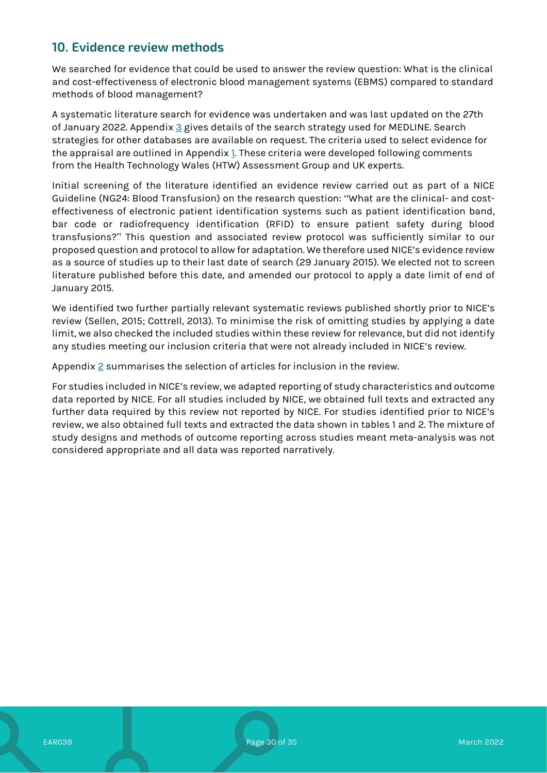# **10. Evidence review methods**

We searched for evidence that could be used to answer the review question: What is the clinical and cost-effectiveness of electronic blood management systems (EBMS) compared to standard methods of blood management?

A systematic literature search for evidence was undertaken and was last updated on the 27th of January 2022. Appendix [3](#page-33-0) gives details of the search strategy used for MEDLINE. Search strategies for other databases are available on request. The criteria used to select evidence for the appraisal are outlined in Appendix [1.](#page-30-0) These criteria were developed following comments from the Health Technology Wales (HTW) Assessment Group and UK experts.

Initial screening of the literature identified an evidence review carried out as part of a NICE Guideline (NG24: Blood Transfusion) on the research question: "What are the clinical- and costeffectiveness of electronic patient identification systems such as patient identification band, bar code or radiofrequency identification (RFID) to ensure patient safety during blood transfusions?" This question and associated review protocol was sufficiently similar to our proposed question and protocol to allow for adaptation. We therefore used NICE's evidence review as a source of studies up to their last date of search (29 January 2015). We elected not to screen literature published before this date, and amended our protocol to apply a date limit of end of January 2015.

We identified two further partially relevant systematic reviews published shortly prior to NICE's review (Sellen, 2015; Cottrell, 2013). To minimise the risk of omitting studies by applying a date limit, we also checked the included studies within these review for relevance, but did not identify any studies meeting our inclusion criteria that were not already included in NICE's review.

Appendix  $2$  summarises the selection of articles for inclusion in the review.

For studies included in NICE's review, we adapted reporting of study characteristics and outcome data reported by NICE. For all studies included by NICE, we obtained full texts and extracted any further data required by this review not reported by NICE. For studies identified prior to NICE's review, we also obtained full texts and extracted the data shown in tables 1 and 2. The mixture of study designs and methods of outcome reporting across studies meant meta-analysis was not considered appropriate and all data was reported narratively.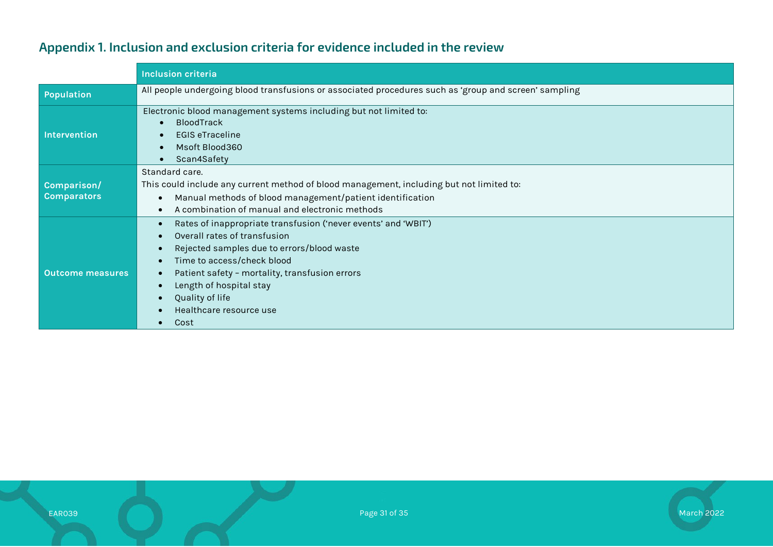| Appendix 1. Inclusion and exclusion criteria for evidence included in the review |  |  |  |
|----------------------------------------------------------------------------------|--|--|--|
|                                                                                  |  |  |  |

<span id="page-30-0"></span>

|                                   | <b>Inclusion criteria</b>                                                                                                                                                                                                                                                                                                  |  |  |  |
|-----------------------------------|----------------------------------------------------------------------------------------------------------------------------------------------------------------------------------------------------------------------------------------------------------------------------------------------------------------------------|--|--|--|
| Population                        | All people undergoing blood transfusions or associated procedures such as 'group and screen' sampling                                                                                                                                                                                                                      |  |  |  |
| Intervention                      | Electronic blood management systems including but not limited to:<br><b>BloodTrack</b><br><b>EGIS eTraceline</b><br>Msoft Blood360<br>Scan4Safety                                                                                                                                                                          |  |  |  |
| Comparison/<br><b>Comparators</b> | Standard care.<br>This could include any current method of blood management, including but not limited to:<br>Manual methods of blood management/patient identification<br>A combination of manual and electronic methods                                                                                                  |  |  |  |
| <b>Outcome measures</b>           | Rates of inappropriate transfusion ('never events' and 'WBIT')<br>$\bullet$<br>Overall rates of transfusion<br>Rejected samples due to errors/blood waste<br>Time to access/check blood<br>Patient safety - mortality, transfusion errors<br>Length of hospital stay<br>Quality of life<br>Healthcare resource use<br>Cost |  |  |  |

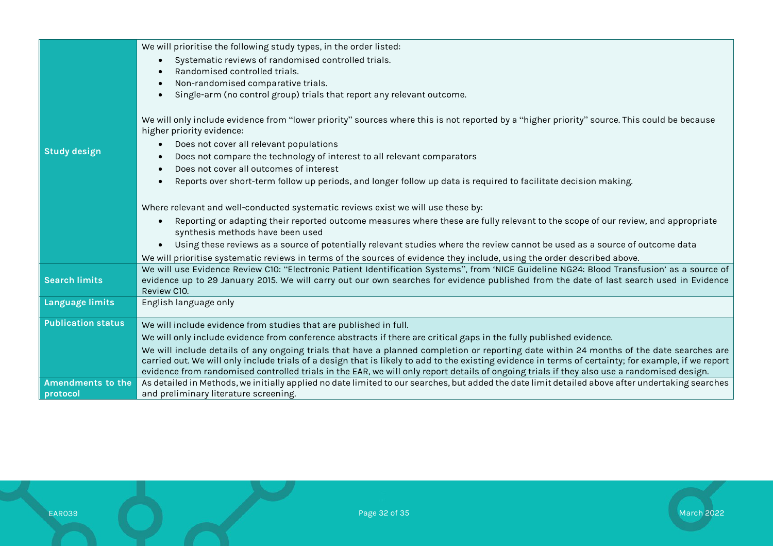|                           | We will prioritise the following study types, in the order listed:                                                                                                                                                                                                                                   |  |  |  |  |
|---------------------------|------------------------------------------------------------------------------------------------------------------------------------------------------------------------------------------------------------------------------------------------------------------------------------------------------|--|--|--|--|
|                           | Systematic reviews of randomised controlled trials.<br>$\bullet$                                                                                                                                                                                                                                     |  |  |  |  |
|                           | Randomised controlled trials.                                                                                                                                                                                                                                                                        |  |  |  |  |
|                           | Non-randomised comparative trials.                                                                                                                                                                                                                                                                   |  |  |  |  |
|                           | Single-arm (no control group) trials that report any relevant outcome.                                                                                                                                                                                                                               |  |  |  |  |
|                           | We will only include evidence from "lower priority" sources where this is not reported by a "higher priority" source. This could be because<br>higher priority evidence:                                                                                                                             |  |  |  |  |
|                           | Does not cover all relevant populations                                                                                                                                                                                                                                                              |  |  |  |  |
| <b>Study design</b>       | Does not compare the technology of interest to all relevant comparators                                                                                                                                                                                                                              |  |  |  |  |
|                           | Does not cover all outcomes of interest                                                                                                                                                                                                                                                              |  |  |  |  |
|                           | Reports over short-term follow up periods, and longer follow up data is required to facilitate decision making.                                                                                                                                                                                      |  |  |  |  |
|                           | Where relevant and well-conducted systematic reviews exist we will use these by:                                                                                                                                                                                                                     |  |  |  |  |
|                           | Reporting or adapting their reported outcome measures where these are fully relevant to the scope of our review, and appropriate<br>synthesis methods have been used                                                                                                                                 |  |  |  |  |
|                           | Using these reviews as a source of potentially relevant studies where the review cannot be used as a source of outcome data                                                                                                                                                                          |  |  |  |  |
|                           | We will prioritise systematic reviews in terms of the sources of evidence they include, using the order described above.                                                                                                                                                                             |  |  |  |  |
| <b>Search limits</b>      | We will use Evidence Review C10: "Electronic Patient Identification Systems", from 'NICE Guideline NG24: Blood Transfusion' as a source of<br>evidence up to 29 January 2015. We will carry out our own searches for evidence published from the date of last search used in Evidence<br>Review C10. |  |  |  |  |
| Language limits           | English language only                                                                                                                                                                                                                                                                                |  |  |  |  |
| <b>Publication status</b> | We will include evidence from studies that are published in full.                                                                                                                                                                                                                                    |  |  |  |  |
|                           | We will only include evidence from conference abstracts if there are critical gaps in the fully published evidence.                                                                                                                                                                                  |  |  |  |  |
|                           | We will include details of any ongoing trials that have a planned completion or reporting date within 24 months of the date searches are                                                                                                                                                             |  |  |  |  |
|                           | carried out. We will only include trials of a design that is likely to add to the existing evidence in terms of certainty; for example, if we report                                                                                                                                                 |  |  |  |  |
|                           | evidence from randomised controlled trials in the EAR, we will only report details of ongoing trials if they also use a randomised design.                                                                                                                                                           |  |  |  |  |
| <b>Amendments to the</b>  | As detailed in Methods, we initially applied no date limited to our searches, but added the date limit detailed above after undertaking searches                                                                                                                                                     |  |  |  |  |
| protocol                  | and preliminary literature screening.                                                                                                                                                                                                                                                                |  |  |  |  |

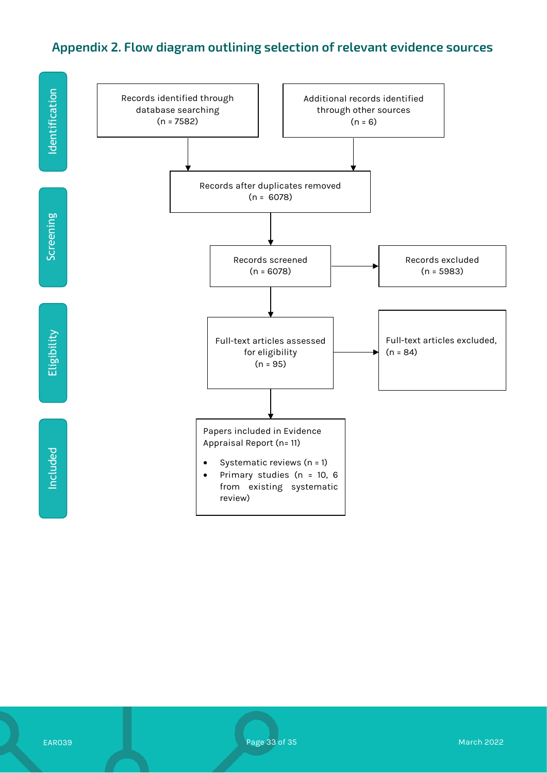# <span id="page-32-0"></span>**Appendix 2. Flow diagram outlining selection of relevant evidence sources**

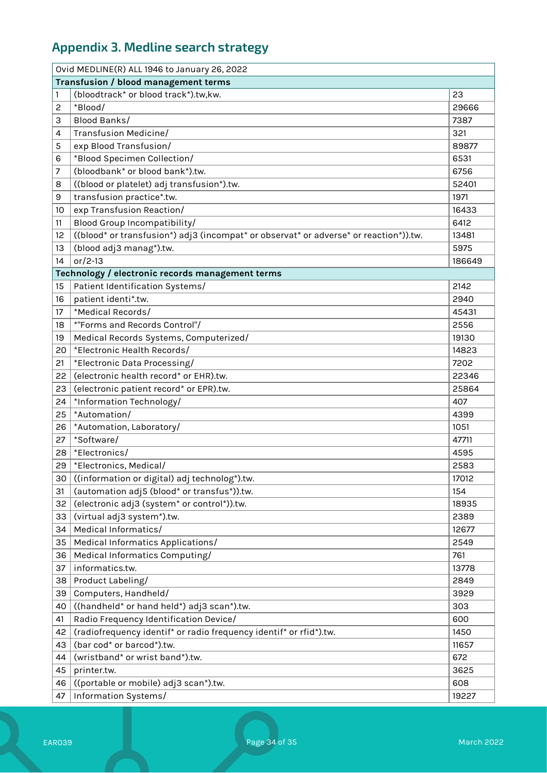# <span id="page-33-0"></span>**Appendix 3. Medline search strategy**

| Ovid MEDLINE(R) ALL 1946 to January 26, 2022 |                                                                                       |        |  |
|----------------------------------------------|---------------------------------------------------------------------------------------|--------|--|
|                                              | Transfusion / blood management terms                                                  |        |  |
| 1                                            | (bloodtrack* or blood track*).tw,kw.                                                  | 23     |  |
| 2                                            | *Blood/                                                                               | 29666  |  |
| 3                                            | Blood Banks/                                                                          | 7387   |  |
| 4                                            | Transfusion Medicine/                                                                 | 321    |  |
| 5                                            | exp Blood Transfusion/                                                                | 89877  |  |
| 6                                            | *Blood Specimen Collection/                                                           | 6531   |  |
| 7                                            | (bloodbank* or blood bank*).tw.                                                       | 6756   |  |
| 8                                            | ((blood or platelet) adj transfusion*).tw.                                            | 52401  |  |
| 9                                            | transfusion practice*.tw.                                                             | 1971   |  |
| 10                                           | exp Transfusion Reaction/                                                             | 16433  |  |
| 11                                           | Blood Group Incompatibility/                                                          | 6412   |  |
| 12                                           | ((blood* or transfusion*) adj3 (incompat* or observat* or adverse* or reaction*)).tw. | 13481  |  |
| 13                                           | (blood adj3 manag*).tw.                                                               | 5975   |  |
| 14                                           | or/2-13                                                                               | 186649 |  |
|                                              | Technology / electronic records management terms                                      |        |  |
| 15                                           | Patient Identification Systems/                                                       | 2142   |  |
| 16                                           | patient identi*.tw.                                                                   | 2940   |  |
| 17                                           | *Medical Records/                                                                     | 45431  |  |
| 18                                           | *"Forms and Records Control"/                                                         | 2556   |  |
| 19                                           | Medical Records Systems, Computerized/                                                | 19130  |  |
| 20                                           | *Electronic Health Records/                                                           | 14823  |  |
| 21                                           | *Electronic Data Processing/                                                          | 7202   |  |
| 22                                           | (electronic health record* or EHR).tw.                                                | 22346  |  |
| 23                                           | (electronic patient record* or EPR).tw.                                               | 25864  |  |
| 24                                           | *Information Technology/                                                              | 407    |  |
| 25                                           | *Automation/                                                                          | 4399   |  |
| 26                                           | *Automation, Laboratory/                                                              | 1051   |  |
| 27                                           | *Software/                                                                            | 47711  |  |
| 28                                           | *Electronics/                                                                         | 4595   |  |
| 29                                           | *Electronics, Medical/                                                                | 2583   |  |
| 30                                           | ((information or digital) adj technolog*).tw.                                         | 17012  |  |
| 31                                           | (automation adj5 (blood* or transfus*)).tw.                                           | 154    |  |
| 32                                           | (electronic adj3 (system <sup>*</sup> or control <sup>*</sup> )).tw.                  | 18935  |  |
| 33                                           | (virtual adj3 system*).tw.                                                            | 2389   |  |
| 34                                           | Medical Informatics/                                                                  | 12677  |  |
| 35                                           | Medical Informatics Applications/                                                     | 2549   |  |
| 36                                           | Medical Informatics Computing/                                                        | 761    |  |
| 37                                           | informatics.tw.                                                                       | 13778  |  |
| 38                                           | Product Labeling/                                                                     | 2849   |  |
| 39                                           | Computers, Handheld/                                                                  | 3929   |  |
| 40                                           | ((handheld* or hand held*) adj3 scan*).tw.                                            | 303    |  |
| 41                                           | Radio Frequency Identification Device/                                                | 600    |  |
| 42                                           | (radiofrequency identif* or radio frequency identif* or rfid*).tw.                    | 1450   |  |
| 43                                           | (bar cod* or barcod*).tw.                                                             | 11657  |  |
| 44                                           | (wristband* or wrist band*).tw.                                                       | 672    |  |
| 45                                           | printer.tw.                                                                           | 3625   |  |
| 46                                           | ((portable or mobile) adj3 scan*).tw.                                                 | 608    |  |
| 47                                           | Information Systems/                                                                  | 19227  |  |